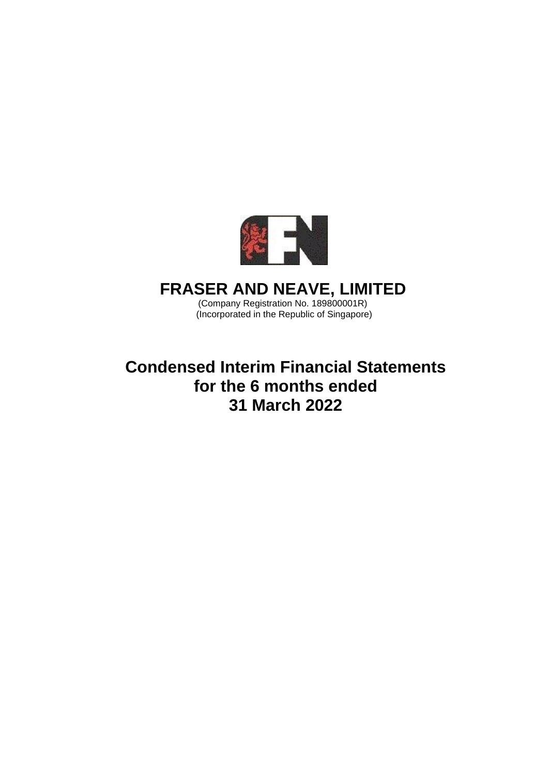

# **FRASER AND NEAVE, LIMITED**

(Company Registration No. 189800001R) (Incorporated in the Republic of Singapore)

**Condensed Interim Financial Statements for the 6 months ended 31 March 2022**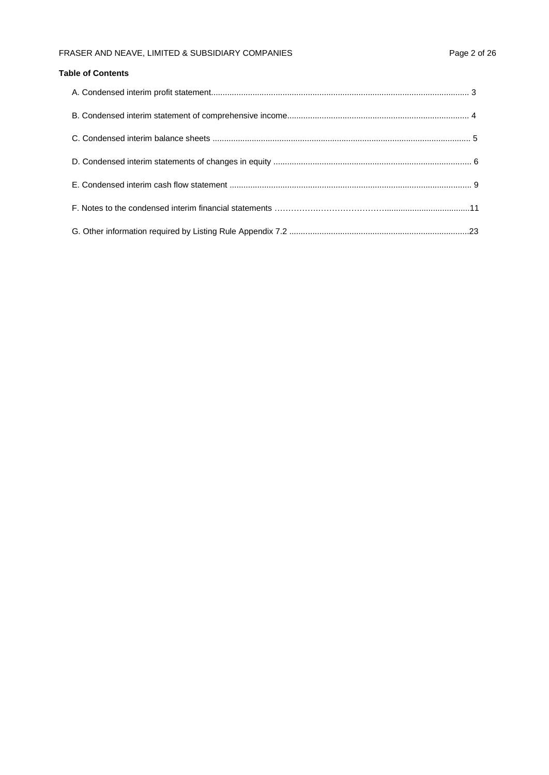## FRASER AND NEAVE, LIMITED & SUBSIDIARY COMPANIES Page 2 of 26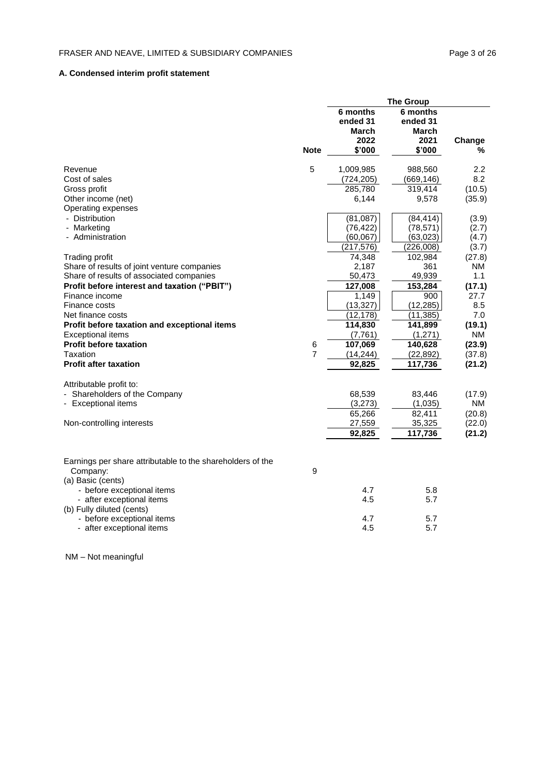## **A. Condensed interim profit statement**

|                                                            |             |                               | <b>The Group</b>              |                     |
|------------------------------------------------------------|-------------|-------------------------------|-------------------------------|---------------------|
|                                                            |             | 6 months<br>ended 31<br>March | 6 months<br>ended 31<br>March |                     |
|                                                            | <b>Note</b> | 2022<br>\$'000                | 2021<br>\$'000                | Change<br>℅         |
| Revenue                                                    | 5           | 1,009,985                     | 988,560                       | 2.2                 |
| Cost of sales                                              |             | (724, 205)                    | (669, 146)                    | 8.2                 |
| Gross profit                                               |             | 285,780                       | 319,414                       | (10.5)              |
| Other income (net)                                         |             | 6,144                         | 9,578                         | (35.9)              |
| Operating expenses                                         |             |                               |                               |                     |
| - Distribution                                             |             | (81,087)                      | (84, 414)                     | (3.9)               |
| - Marketing                                                |             | (76, 422)                     | (78, 571)                     | (2.7)               |
| - Administration                                           |             | (60, 067)                     | (63, 023)                     | (4.7)               |
|                                                            |             | (217, 576)                    | (226,008)                     | (3.7)               |
| Trading profit                                             |             | 74,348                        | 102,984                       | (27.8)              |
| Share of results of joint venture companies                |             | 2,187                         | 361                           | NM                  |
| Share of results of associated companies                   |             | 50,473                        | 49,939                        | 1.1                 |
| Profit before interest and taxation ("PBIT")               |             | 127,008                       | 153,284                       | (17.1)              |
| Finance income                                             |             | 1,149                         | 900                           | 27.7                |
| Finance costs                                              |             | (13, 327)                     | (12, 285)                     | 8.5                 |
| Net finance costs                                          |             | (12, 178)                     | (11, 385)                     | 7.0                 |
| Profit before taxation and exceptional items               |             | 114,830                       | 141,899                       | (19.1)              |
| <b>Exceptional items</b><br><b>Profit before taxation</b>  |             | (7, 761)<br>107,069           | (1,271)<br>140,628            | NM<br>(23.9)        |
| Taxation                                                   | 6<br>7      | (14, 244)                     | (22, 892)                     | (37.8)              |
| <b>Profit after taxation</b>                               |             | 92,825                        | 117,736                       |                     |
|                                                            |             |                               |                               | (21.2)              |
| Attributable profit to:<br>Shareholders of the Company     |             |                               | 83,446                        |                     |
|                                                            |             | 68,539<br>(3,273)             | (1,035)                       | (17.9)<br><b>NM</b> |
| - Exceptional items                                        |             | 65,266                        | 82,411                        |                     |
| Non-controlling interests                                  |             | 27,559                        | 35,325                        | (20.8)<br>(22.0)    |
|                                                            |             | 92,825                        | 117,736                       | (21.2)              |
|                                                            |             |                               |                               |                     |
| Earnings per share attributable to the shareholders of the |             |                               |                               |                     |
| Company:                                                   | 9           |                               |                               |                     |
| (a) Basic (cents)                                          |             |                               |                               |                     |
| - before exceptional items                                 |             | 4.7                           | 5.8                           |                     |
| - after exceptional items<br>(b) Fully diluted (cents)     |             | 4.5                           | 5.7                           |                     |
| - before exceptional items                                 |             | 4.7                           | 5.7                           |                     |
| - after exceptional items                                  |             | 4.5                           | 5.7                           |                     |

NM – Not meaningful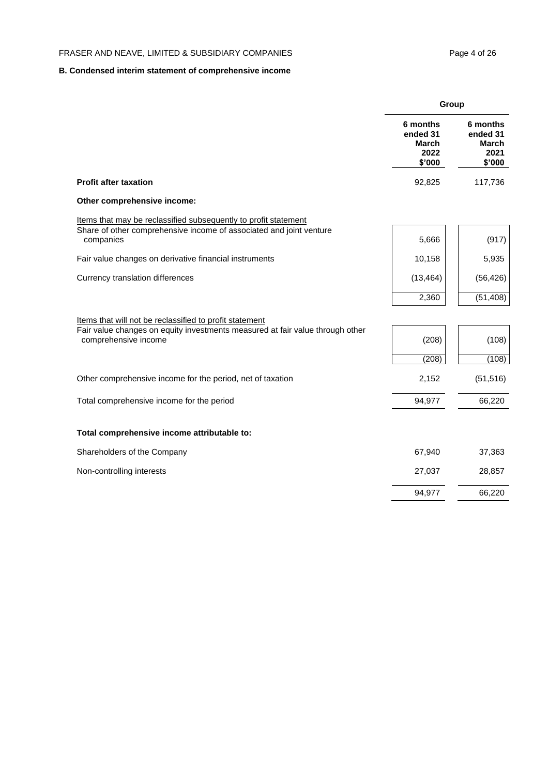## **B. Condensed interim statement of comprehensive income**

|                                                                                                       | Group                                           |                                                 |
|-------------------------------------------------------------------------------------------------------|-------------------------------------------------|-------------------------------------------------|
|                                                                                                       | 6 months<br>ended 31<br>March<br>2022<br>\$'000 | 6 months<br>ended 31<br>March<br>2021<br>\$'000 |
| <b>Profit after taxation</b>                                                                          | 92,825                                          | 117,736                                         |
| Other comprehensive income:                                                                           |                                                 |                                                 |
| Items that may be reclassified subsequently to profit statement                                       |                                                 |                                                 |
| Share of other comprehensive income of associated and joint venture<br>companies                      | 5,666                                           | (917)                                           |
| Fair value changes on derivative financial instruments                                                | 10,158                                          | 5,935                                           |
| Currency translation differences                                                                      | (13, 464)                                       | (56, 426)                                       |
|                                                                                                       | 2,360                                           | (51, 408)                                       |
| Items that will not be reclassified to profit statement                                               |                                                 |                                                 |
| Fair value changes on equity investments measured at fair value through other<br>comprehensive income | (208)                                           | (108)                                           |
|                                                                                                       | (208)                                           | (108)                                           |
| Other comprehensive income for the period, net of taxation                                            | 2,152                                           | (51, 516)                                       |
| Total comprehensive income for the period                                                             | 94,977                                          | 66,220                                          |
| Total comprehensive income attributable to:                                                           |                                                 |                                                 |
| Shareholders of the Company                                                                           | 67,940                                          | 37,363                                          |
| Non-controlling interests                                                                             | 27,037                                          | 28,857                                          |
|                                                                                                       | 94,977                                          | 66,220                                          |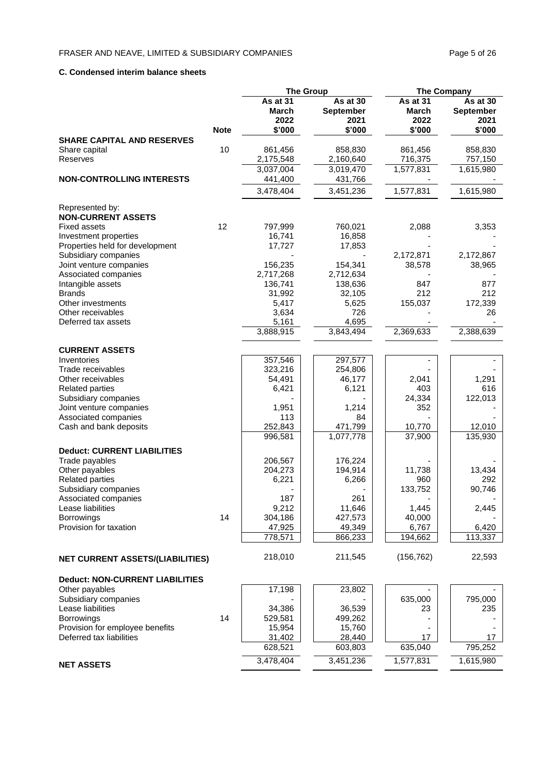### **C. Condensed interim balance sheets**

|                                                 |             | <b>The Group</b>          |                                      | <b>The Company</b>        |                                      |  |
|-------------------------------------------------|-------------|---------------------------|--------------------------------------|---------------------------|--------------------------------------|--|
|                                                 |             | As at 31<br>March<br>2022 | As at 30<br><b>September</b><br>2021 | As at 31<br>March<br>2022 | As at 30<br><b>September</b><br>2021 |  |
| <b>SHARE CAPITAL AND RESERVES</b>               | <b>Note</b> | \$'000                    | \$'000                               | \$'000                    | \$'000                               |  |
| Share capital<br>Reserves                       | 10          | 861,456<br>2,175,548      | 858,830<br>2,160,640                 | 861,456<br>716,375        | 858,830<br>757,150                   |  |
| <b>NON-CONTROLLING INTERESTS</b>                |             | 3,037,004<br>441,400      | 3,019,470<br>431,766                 | 1,577,831                 | 1,615,980                            |  |
|                                                 |             | 3,478,404                 | 3,451,236                            | 1,577,831                 | 1,615,980                            |  |
| Represented by:<br><b>NON-CURRENT ASSETS</b>    |             |                           |                                      |                           |                                      |  |
| <b>Fixed assets</b>                             | 12          | 797,999                   | 760,021                              | 2,088                     | 3,353                                |  |
| Investment properties                           |             | 16,741                    | 16,858                               |                           |                                      |  |
| Properties held for development                 |             | 17,727                    | 17,853                               |                           |                                      |  |
| Subsidiary companies<br>Joint venture companies |             | 156,235                   | 154,341                              | 2,172,871<br>38,578       | 2,172,867<br>38,965                  |  |
| Associated companies                            |             | 2,717,268                 | 2,712,634                            |                           |                                      |  |
| Intangible assets                               |             | 136,741                   | 138,636                              | 847                       | 877                                  |  |
| <b>Brands</b>                                   |             | 31,992                    | 32,105                               | 212                       | 212                                  |  |
| Other investments                               |             | 5,417                     | 5,625                                | 155,037                   | 172,339                              |  |
| Other receivables                               |             | 3,634                     | 726                                  |                           | 26                                   |  |
| Deferred tax assets                             |             | 5,161                     | 4,695                                |                           |                                      |  |
|                                                 |             | 3,888,915                 | 3,843,494                            | 2,369,633                 | 2,388,639                            |  |
| <b>CURRENT ASSETS</b>                           |             |                           |                                      |                           |                                      |  |
| Inventories                                     |             | 357,546                   | 297,577                              |                           |                                      |  |
| Trade receivables                               |             | 323,216                   | 254,806                              |                           |                                      |  |
| Other receivables                               |             | 54,491                    | 46,177                               | 2,041                     | 1,291                                |  |
| <b>Related parties</b>                          |             | 6,421                     | 6,121                                | 403                       | 616                                  |  |
| Subsidiary companies                            |             |                           |                                      | 24,334                    | 122,013                              |  |
| Joint venture companies                         |             | 1,951                     | 1,214                                | 352                       |                                      |  |
| Associated companies                            |             | 113                       | 84                                   |                           |                                      |  |
| Cash and bank deposits                          |             | 252,843<br>996,581        | 471,799<br>1,077,778                 | 10,770<br>37,900          | 12,010<br>135,930                    |  |
| <b>Deduct: CURRENT LIABILITIES</b>              |             |                           |                                      |                           |                                      |  |
| Trade payables                                  |             | 206,567                   | 176,224                              |                           |                                      |  |
| Other payables<br><b>Related parties</b>        |             | 204,273<br>6,221          | 194,914<br>6,266                     | 11,738<br>960             | 13,434<br>292                        |  |
| Subsidiary companies                            |             |                           |                                      | 133,752                   | 90,746                               |  |
| Associated companies                            |             | 187                       | 261                                  |                           |                                      |  |
| Lease liabilities                               |             | 9,212                     | 11,646                               | 1,445                     | 2,445                                |  |
| <b>Borrowings</b>                               | 14          | 304,186                   | 427,573                              | 40,000                    |                                      |  |
| Provision for taxation                          |             | 47,925                    | 49,349                               | 6,767                     | 6,420                                |  |
|                                                 |             | 778,571                   | 866,233                              | 194,662                   | 113,337                              |  |
| <b>NET CURRENT ASSETS/(LIABILITIES)</b>         |             | 218,010                   | 211,545                              | (156, 762)                | 22,593                               |  |
| <b>Deduct: NON-CURRENT LIABILITIES</b>          |             |                           |                                      |                           |                                      |  |
| Other payables                                  |             | 17,198                    | 23,802                               |                           |                                      |  |
| Subsidiary companies                            |             |                           |                                      | 635,000                   | 795,000                              |  |
| Lease liabilities                               |             | 34,386                    | 36,539                               | 23                        | 235                                  |  |
| <b>Borrowings</b>                               | 14          | 529,581                   | 499,262                              |                           |                                      |  |
| Provision for employee benefits                 |             | 15,954                    | 15,760                               |                           |                                      |  |
| Deferred tax liabilities                        |             | 31,402                    | 28,440                               | 17                        | 17                                   |  |
|                                                 |             | 628,521                   | 603,803                              | 635,040                   | 795,252                              |  |
| <b>NET ASSETS</b>                               |             | 3,478,404                 | 3,451,236                            | 1,577,831                 | 1,615,980                            |  |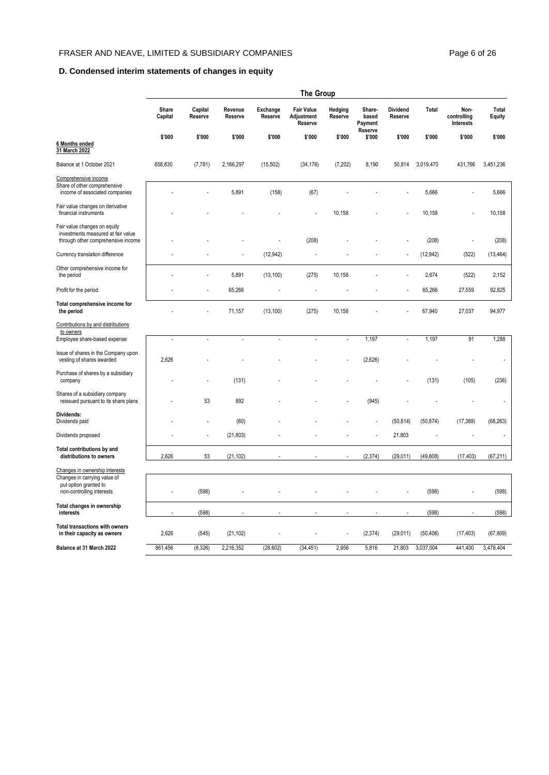## **D. Condensed interim statements of changes in equity**

|                                                                                                          |                  |                    |                    |                     | <b>The Group</b>                           |                    |                                       |                            |           |                                  |                        |
|----------------------------------------------------------------------------------------------------------|------------------|--------------------|--------------------|---------------------|--------------------------------------------|--------------------|---------------------------------------|----------------------------|-----------|----------------------------------|------------------------|
|                                                                                                          | Share<br>Capital | Capital<br>Reserve | Revenue<br>Reserve | Exchange<br>Reserve | <b>Fair Value</b><br>Adjustment<br>Reserve | Hedging<br>Reserve | Share-<br>based<br>Payment<br>Reserve | <b>Dividend</b><br>Reserve | Total     | Non-<br>controlling<br>Interests | Total<br><b>Equity</b> |
|                                                                                                          | \$'000           | \$'000             | \$'000             | \$'000              | \$'000                                     | \$'000             | \$'000                                | \$'000                     | \$'000    | \$'000                           | \$'000                 |
| 6 Months ended<br>31 March 2022                                                                          |                  |                    |                    |                     |                                            |                    |                                       |                            |           |                                  |                        |
| Balance at 1 October 2021                                                                                | 858,830          | (7, 781)           | 2,166,297          | (15, 502)           | (34, 176)                                  | (7, 202)           | 8,190                                 | 50,814                     | 3,019,470 | 431,766                          | 3,451,236              |
| Comprehensive income<br>Share of other comprehensive<br>income of associated companies                   |                  |                    | 5,891              | (158)               | (67)                                       |                    |                                       |                            | 5,666     |                                  | 5,666                  |
| Fair value changes on derivative<br>financial instruments                                                |                  |                    |                    |                     |                                            | 10,158             |                                       |                            | 10,158    |                                  | 10,158                 |
| Fair value changes on equity<br>investments measured at fair value<br>through other comprehensive income |                  |                    |                    |                     | (208)                                      |                    |                                       |                            | (208)     |                                  | (208)                  |
| Currency translation difference                                                                          |                  |                    |                    | (12, 942)           |                                            |                    |                                       |                            | (12, 942) | (522)                            | (13, 464)              |
| Other comprehensive income for<br>the period                                                             |                  |                    | 5,891              | (13, 100)           | (275)                                      | 10,158             |                                       |                            | 2,674     | (522)                            | 2,152                  |
| Profit for the period                                                                                    |                  |                    | 65,266             |                     |                                            |                    |                                       |                            | 65,266    | 27,559                           | 92,825                 |
| Total comprehensive income for<br>the period                                                             |                  |                    | 71,157             | (13, 100)           | (275)                                      | 10,158             |                                       |                            | 67,940    | 27,037                           | 94,977                 |
| Contributions by and distributions<br>to owners                                                          |                  |                    |                    |                     |                                            |                    |                                       |                            |           |                                  |                        |
| Employee share-based expense                                                                             | $\overline{a}$   |                    | $\overline{a}$     | $\overline{a}$      | $\overline{a}$                             | ÷,                 | 1,197                                 | ÷.                         | 1,197     | 91                               | 1,288                  |
| Issue of shares in the Company upon<br>vesting of shares awarded                                         | 2,626            |                    |                    |                     |                                            |                    | (2,626)                               |                            |           |                                  |                        |
| Purchase of shares by a subsidiary<br>company                                                            |                  |                    | (131)              |                     |                                            |                    |                                       |                            | (131)     | (105)                            | (236)                  |
| Shares of a subsidiary company<br>reissued pursuant to its share plans                                   |                  | 53                 | 892                |                     |                                            |                    | (945)                                 |                            |           |                                  |                        |
| Dividends:<br>Dividends paid                                                                             |                  |                    | (60)               |                     |                                            |                    |                                       | (50, 814)                  | (50, 874) | (17, 389)                        | (68, 263)              |
| Dividends proposed                                                                                       |                  |                    | (21, 803)          |                     |                                            |                    | $\overline{a}$                        | 21,803                     |           |                                  |                        |
| Total contributions by and<br>distributions to owners                                                    | 2,626            | 53                 | (21, 102)          |                     |                                            |                    | (2, 374)                              | (29, 011)                  | (49, 808) | (17, 403)                        | (67, 211)              |
| Changes in ownership interests                                                                           |                  |                    |                    |                     |                                            |                    |                                       |                            |           |                                  |                        |
| Changes in carrying value of<br>put option granted to<br>non-controlling interests                       |                  | (598)              |                    |                     |                                            |                    |                                       |                            | (598)     |                                  | (598)                  |
| Total changes in ownership<br>interests                                                                  |                  | (598)              |                    |                     |                                            |                    |                                       |                            | (598)     |                                  | (598)                  |
| <b>Total transactions with owners</b><br>in their capacity as owners                                     | 2,626            | (545)              | (21, 102)          |                     |                                            |                    | (2, 374)                              | (29,011)                   | (50, 406) | (17, 403)                        | (67, 809)              |
| Balance at 31 March 2022                                                                                 | 861,456          | (8,326)            | 2,216,352          | (28, 602)           | (34, 451)                                  | 2,956              | 5,816                                 | 21,803                     | 3,037,004 | 441,400                          | 3,478,404              |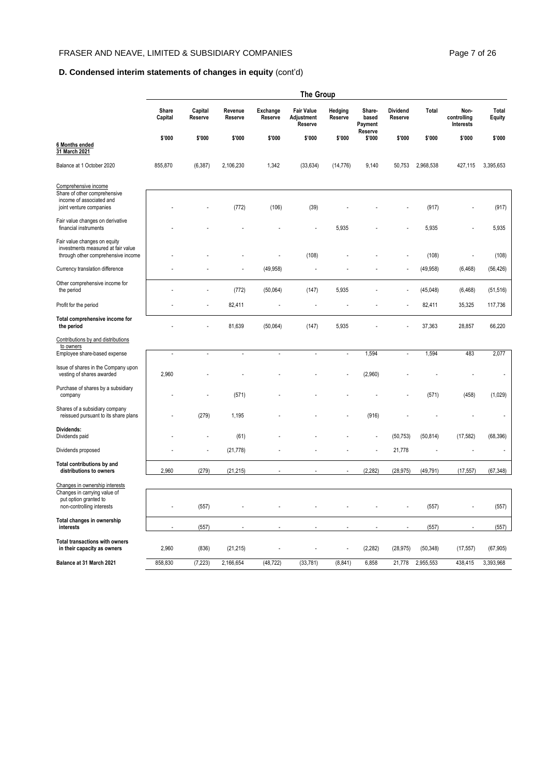## **D. Condensed interim statements of changes in equity** (cont'd)

|                                                                                                          | <b>The Group</b> |                    |                    |                            |                                            |                    |                                       |                     |           |                                  |                        |
|----------------------------------------------------------------------------------------------------------|------------------|--------------------|--------------------|----------------------------|--------------------------------------------|--------------------|---------------------------------------|---------------------|-----------|----------------------------------|------------------------|
|                                                                                                          | Share<br>Capital | Capital<br>Reserve | Revenue<br>Reserve | <b>Exchange</b><br>Reserve | <b>Fair Value</b><br>Adjustment<br>Reserve | Hedging<br>Reserve | Share-<br>based<br>Payment<br>Reserve | Dividend<br>Reserve | Total     | Non-<br>controlling<br>Interests | Total<br><b>Equity</b> |
| 6 Months ended<br>31 March 2021                                                                          | \$'000           | \$'000             | \$'000             | \$'000                     | \$'000                                     | \$'000             | \$'000                                | \$'000              | \$'000    | \$'000                           | \$'000                 |
| Balance at 1 October 2020                                                                                | 855,870          | (6, 387)           | 2,106,230          | 1,342                      | (33, 634)                                  | (14, 776)          | 9,140                                 | 50,753              | 2,968,538 | 427,115                          | 3,395,653              |
| Comprehensive income<br>Share of other comprehensive<br>income of associated and                         |                  |                    |                    |                            |                                            |                    |                                       |                     |           |                                  |                        |
| joint venture companies                                                                                  |                  |                    | (772)              | (106)                      | (39)                                       |                    |                                       |                     | (917)     |                                  | (917)                  |
| Fair value changes on derivative<br>financial instruments                                                |                  |                    |                    |                            |                                            | 5,935              |                                       |                     | 5,935     |                                  | 5,935                  |
| Fair value changes on equity<br>investments measured at fair value<br>through other comprehensive income |                  |                    |                    |                            | (108)                                      |                    |                                       |                     | (108)     |                                  | (108)                  |
| Currency translation difference                                                                          |                  |                    |                    | (49, 958)                  |                                            |                    |                                       |                     | (49, 958) | (6, 468)                         | (56, 426)              |
| Other comprehensive income for<br>the period                                                             |                  |                    | (772)              | (50,064)                   | (147)                                      | 5,935              |                                       | ÷,                  | (45, 048) | (6, 468)                         | (51, 516)              |
| Profit for the period                                                                                    |                  |                    | 82,411             |                            |                                            |                    |                                       |                     | 82,411    | 35,325                           | 117,736                |
| Total comprehensive income for<br>the period                                                             |                  |                    | 81,639             | (50,064)                   | (147)                                      | 5,935              |                                       |                     | 37,363    | 28,857                           | 66,220                 |
| Contributions by and distributions<br>to owners                                                          |                  |                    |                    |                            |                                            |                    |                                       |                     |           |                                  |                        |
| Employee share-based expense                                                                             | $\overline{a}$   |                    | $\overline{a}$     | $\overline{a}$             | $\overline{a}$                             | $\overline{a}$     | 1,594                                 | $\overline{a}$      | 1,594     | 483                              | 2,077                  |
| Issue of shares in the Company upon<br>vesting of shares awarded                                         | 2,960            |                    |                    |                            |                                            |                    | (2,960)                               |                     |           |                                  |                        |
| Purchase of shares by a subsidiary<br>company                                                            |                  |                    | (571)              |                            |                                            |                    |                                       |                     | (571)     | (458)                            | (1,029)                |
| Shares of a subsidiary company<br>reissued pursuant to its share plans                                   |                  | (279)              | 1,195              |                            |                                            |                    | (916)                                 |                     |           |                                  |                        |
| Dividends:<br>Dividends paid                                                                             |                  |                    | (61)               |                            |                                            |                    |                                       | (50, 753)           | (50, 814) | (17, 582)                        | (68, 396)              |
| Dividends proposed                                                                                       |                  |                    | (21, 778)          |                            |                                            |                    |                                       | 21,778              |           |                                  |                        |
| Total contributions by and<br>distributions to owners                                                    | 2,960            | (279)              | (21, 215)          |                            |                                            |                    | (2, 282)                              | (28, 975)           | (49, 791) | (17, 557)                        | (67, 348)              |
| Changes in ownership interests                                                                           |                  |                    |                    |                            |                                            |                    |                                       |                     |           |                                  |                        |
| Changes in carrying value of<br>put option granted to<br>non-controlling interests                       | ÷                | (557)              |                    |                            |                                            |                    |                                       |                     | (557)     |                                  | (557)                  |
| Total changes in ownership<br>interests                                                                  |                  | (557)              |                    |                            |                                            |                    |                                       |                     | (557)     |                                  | (557)                  |
| <b>Total transactions with owners</b><br>in their capacity as owners                                     | 2,960            | (836)              | (21, 215)          |                            |                                            |                    | (2, 282)                              | (28, 975)           | (50, 348) | (17, 557)                        | (67, 905)              |
| Balance at 31 March 2021                                                                                 | 858,830          | (7, 223)           | 2,166,654          | (48, 722)                  | (33, 781)                                  | (8, 841)           | 6,858                                 | 21,778              | 2,955,553 | 438,415                          | 3,393,968              |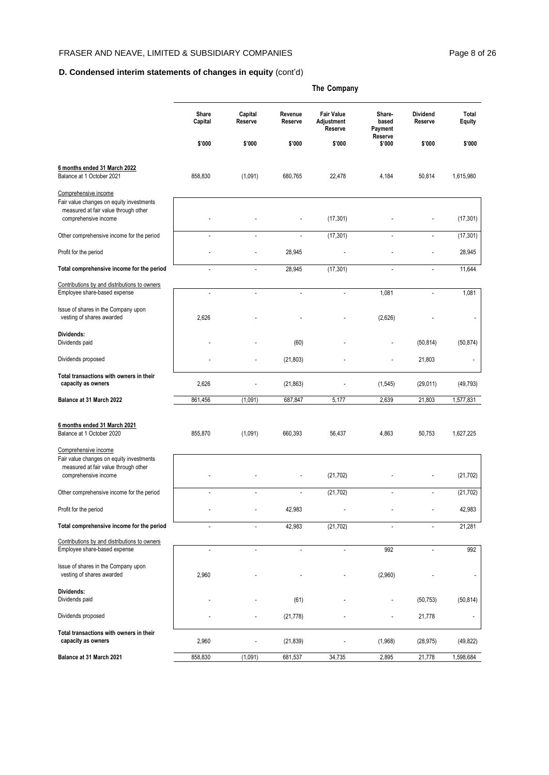## **D. Condensed interim statements of changes in equity** (cont'd)

|                                                                                                          | The Company              |                          |                          |                                            |                            |                            |                 |  |  |  |
|----------------------------------------------------------------------------------------------------------|--------------------------|--------------------------|--------------------------|--------------------------------------------|----------------------------|----------------------------|-----------------|--|--|--|
|                                                                                                          | Share<br>Capital         | Capital<br>Reserve       | Revenue<br>Reserve       | <b>Fair Value</b><br>Adjustment<br>Reserve | Share-<br>based<br>Payment | <b>Dividend</b><br>Reserve | Total<br>Equity |  |  |  |
|                                                                                                          | \$'000                   | \$'000                   | \$'000                   | \$'000                                     | Reserve<br>\$'000          | \$'000                     | \$'000          |  |  |  |
| 6 months ended 31 March 2022<br>Balance at 1 October 2021                                                | 858,830                  | (1,091)                  | 680,765                  | 22,478                                     | 4,184                      | 50,814                     | 1,615,980       |  |  |  |
| Comprehensive income                                                                                     |                          |                          |                          |                                            |                            |                            |                 |  |  |  |
| Fair value changes on equity investments<br>measured at fair value through other<br>comprehensive income |                          |                          |                          | (17, 301)                                  |                            |                            | (17, 301)       |  |  |  |
| Other comprehensive income for the period                                                                |                          |                          |                          | (17, 301)                                  |                            |                            | (17, 301)       |  |  |  |
| Profit for the period                                                                                    |                          |                          | 28,945                   |                                            |                            |                            | 28,945          |  |  |  |
| Total comprehensive income for the period                                                                | L,                       | ÷.                       | 28,945                   | (17, 301)                                  | L.                         | ÷,                         | 11,644          |  |  |  |
| Contributions by and distributions to owners<br>Employee share-based expense                             | $\overline{\phantom{a}}$ | ÷.                       | $\overline{\phantom{a}}$ | ÷,                                         | 1,081                      | L,                         | 1,081           |  |  |  |
| Issue of shares in the Company upon<br>vesting of shares awarded                                         | 2,626                    |                          |                          |                                            | (2,626)                    |                            |                 |  |  |  |
| Dividends:<br>Dividends paid                                                                             |                          |                          | (60)                     |                                            |                            | (50, 814)                  | (50, 874)       |  |  |  |
| Dividends proposed                                                                                       |                          |                          | (21, 803)                |                                            |                            | 21,803                     |                 |  |  |  |
| Total transactions with owners in their<br>capacity as owners                                            | 2,626                    |                          | (21, 863)                |                                            | (1, 545)                   | (29, 011)                  | (49, 793)       |  |  |  |
| Balance at 31 March 2022                                                                                 | 861,456                  | (1,091)                  | 687,847                  | 5,177                                      | 2,639                      | 21,803                     | 1,577,831       |  |  |  |
| 6 months ended 31 March 2021<br>Balance at 1 October 2020                                                | 855,870                  | (1,091)                  | 660,393                  | 56,437                                     | 4,863                      | 50,753                     | 1,627,225       |  |  |  |
| Comprehensive income<br>Fair value changes on equity investments<br>measured at fair value through other |                          |                          |                          |                                            |                            |                            |                 |  |  |  |
| comprehensive income                                                                                     |                          |                          |                          | (21, 702)                                  |                            |                            | (21, 702)       |  |  |  |
| Other comprehensive income for the period                                                                |                          |                          |                          | (21, 702)                                  |                            |                            | (21, 702)       |  |  |  |
| Profit for the period                                                                                    |                          |                          | 42,983                   |                                            |                            |                            | 42,983          |  |  |  |
| Total comprehensive income for the period                                                                |                          | $\overline{\phantom{a}}$ | 42,983                   | (21, 702)                                  |                            | $\blacksquare$             | 21,281          |  |  |  |
| Contributions by and distributions to owners<br>Employee share-based expense                             |                          |                          |                          |                                            | 992                        |                            | 992             |  |  |  |
| Issue of shares in the Company upon<br>vesting of shares awarded                                         | 2,960                    |                          |                          |                                            | (2,960)                    |                            |                 |  |  |  |
| Dividends:<br>Dividends paid                                                                             |                          |                          | (61)                     |                                            |                            | (50, 753)                  | (50, 814)       |  |  |  |
| Dividends proposed                                                                                       |                          |                          | (21, 778)                |                                            |                            | 21,778                     |                 |  |  |  |
| Total transactions with owners in their<br>capacity as owners                                            | 2,960                    |                          | (21, 839)                |                                            | (1,968)                    | (28, 975)                  | (49, 822)       |  |  |  |
| Balance at 31 March 2021                                                                                 | 858,830                  | (1,091)                  | 681,537                  | 34,735                                     | 2,895                      | 21,778                     | 1,598,684       |  |  |  |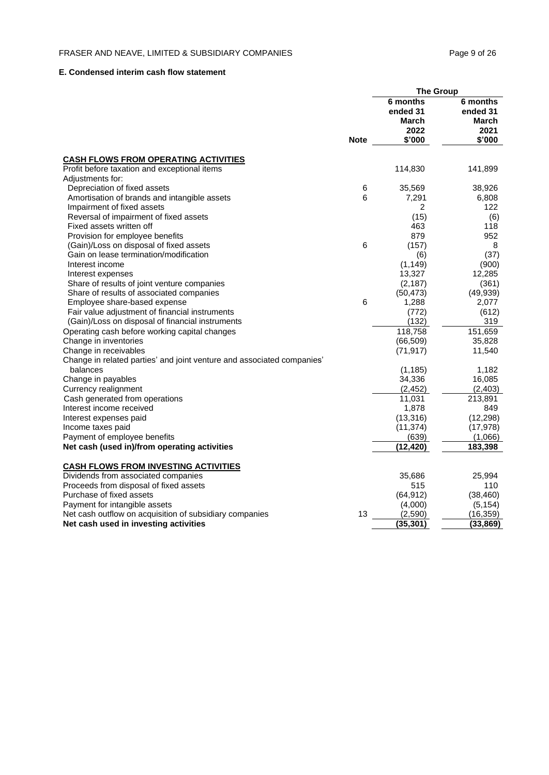## **E. Condensed interim cash flow statement**

|                                                                        |             | <b>The Group</b>              |                               |
|------------------------------------------------------------------------|-------------|-------------------------------|-------------------------------|
|                                                                        |             | 6 months<br>ended 31<br>March | 6 months<br>ended 31<br>March |
|                                                                        | <b>Note</b> | 2022<br>\$'000                | 2021<br>\$'000                |
| <b>CASH FLOWS FROM OPERATING ACTIVITIES</b>                            |             |                               |                               |
| Profit before taxation and exceptional items                           |             | 114,830                       | 141,899                       |
| Adjustments for:                                                       |             |                               |                               |
| Depreciation of fixed assets                                           | 6           | 35,569                        | 38,926                        |
| Amortisation of brands and intangible assets                           | 6           | 7,291                         | 6,808                         |
| Impairment of fixed assets                                             |             | $\overline{2}$                | 122                           |
| Reversal of impairment of fixed assets                                 |             | (15)                          | (6)                           |
| Fixed assets written off                                               |             | 463                           | 118                           |
| Provision for employee benefits                                        |             | 879                           | 952                           |
| (Gain)/Loss on disposal of fixed assets                                | 6           | (157)                         | 8                             |
| Gain on lease termination/modification                                 |             | (6)                           | (37)                          |
| Interest income                                                        |             | (1, 149)                      | (900)                         |
| Interest expenses                                                      |             | 13,327                        | 12,285                        |
| Share of results of joint venture companies                            |             | (2, 187)                      | (361)                         |
| Share of results of associated companies                               |             | (50, 473)                     | (49, 939)                     |
| Employee share-based expense                                           | 6           | 1,288                         | 2,077                         |
| Fair value adjustment of financial instruments                         |             | (772)                         | (612)                         |
| (Gain)/Loss on disposal of financial instruments                       |             | (132)                         | 319                           |
| Operating cash before working capital changes                          |             | 118,758                       | 151,659                       |
| Change in inventories                                                  |             | (66, 509)                     | 35,828                        |
| Change in receivables                                                  |             | (71, 917)                     | 11,540                        |
| Change in related parties' and joint venture and associated companies' |             |                               |                               |
| balances                                                               |             | (1, 185)                      | 1,182                         |
| Change in payables                                                     |             | 34,336<br>(2, 452)            | 16,085<br>(2, 403)            |
| Currency realignment<br>Cash generated from operations                 |             | 11,031                        | 213,891                       |
| Interest income received                                               |             | 1,878                         | 849                           |
| Interest expenses paid                                                 |             | (13, 316)                     | (12, 298)                     |
| Income taxes paid                                                      |             | (11, 374)                     | (17, 978)                     |
| Payment of employee benefits                                           |             | (639)                         | (1,066)                       |
| Net cash (used in)/from operating activities                           |             | (12, 420)                     | 183,398                       |
|                                                                        |             |                               |                               |
| <b>CASH FLOWS FROM INVESTING ACTIVITIES</b>                            |             |                               |                               |
| Dividends from associated companies                                    |             | 35,686                        | 25,994                        |
| Proceeds from disposal of fixed assets                                 |             | 515                           | 110                           |
| Purchase of fixed assets                                               |             | (64, 912)                     | (38, 460)                     |
| Payment for intangible assets                                          |             | (4,000)                       | (5, 154)                      |
| Net cash outflow on acquisition of subsidiary companies                | 13          | (2,590)                       | (16, 359)                     |
| Net cash used in investing activities                                  |             | (35, 301)                     | (33, 869)                     |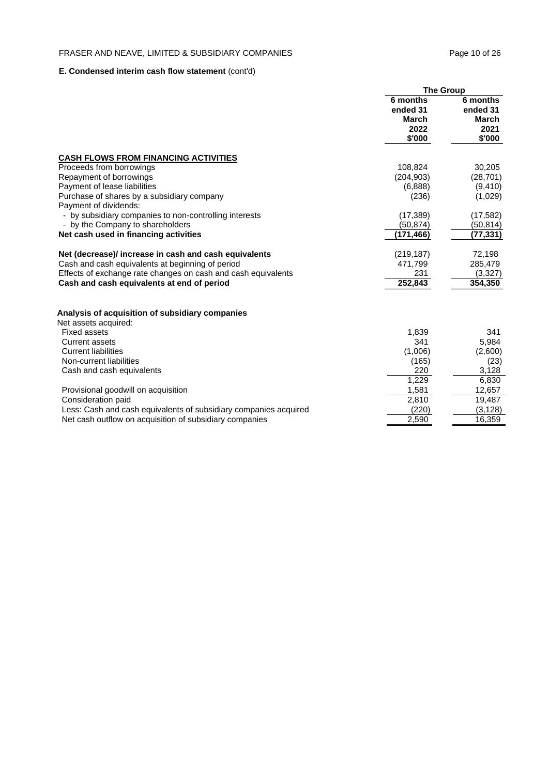## **E. Condensed interim cash flow statement** (cont'd)

|                                                                  | <b>The Group</b>                                |                                                 |
|------------------------------------------------------------------|-------------------------------------------------|-------------------------------------------------|
|                                                                  | 6 months<br>ended 31<br>March<br>2022<br>\$'000 | 6 months<br>ended 31<br>March<br>2021<br>\$'000 |
| <b>CASH FLOWS FROM FINANCING ACTIVITIES</b>                      |                                                 |                                                 |
| Proceeds from borrowings                                         | 108,824                                         | 30,205                                          |
| Repayment of borrowings                                          | (204, 903)                                      | (28, 701)                                       |
| Payment of lease liabilities                                     | (6,888)                                         | (9, 410)                                        |
| Purchase of shares by a subsidiary company                       | (236)                                           | (1,029)                                         |
| Payment of dividends:                                            |                                                 |                                                 |
| - by subsidiary companies to non-controlling interests           | (17, 389)                                       | (17, 582)                                       |
| - by the Company to shareholders                                 | (50, 874)                                       | (50, 814)                                       |
| Net cash used in financing activities                            | (171,466)                                       | (77,331)                                        |
| Net (decrease)/ increase in cash and cash equivalents            | (219, 187)                                      | 72,198                                          |
| Cash and cash equivalents at beginning of period                 | 471,799                                         | 285,479                                         |
| Effects of exchange rate changes on cash and cash equivalents    | 231                                             | (3,327)                                         |
| Cash and cash equivalents at end of period                       | 252,843                                         | 354,350                                         |
| Analysis of acquisition of subsidiary companies                  |                                                 |                                                 |
| Net assets acquired:                                             |                                                 |                                                 |
| <b>Fixed assets</b>                                              | 1,839                                           | 341                                             |
| <b>Current assets</b>                                            | 341                                             | 5,984                                           |
| <b>Current liabilities</b>                                       | (1,006)                                         | (2,600)                                         |
| Non-current liabilities                                          | (165)                                           | (23)                                            |
| Cash and cash equivalents                                        | 220                                             | 3,128                                           |
|                                                                  | 1,229                                           | 6,830                                           |
| Provisional goodwill on acquisition                              | 1,581                                           | 12,657                                          |
| Consideration paid                                               | 2,810                                           | 19,487                                          |
| Less: Cash and cash equivalents of subsidiary companies acquired | (220)                                           | (3, 128)                                        |
| Net cash outflow on acquisition of subsidiary companies          | 2,590                                           | 16,359                                          |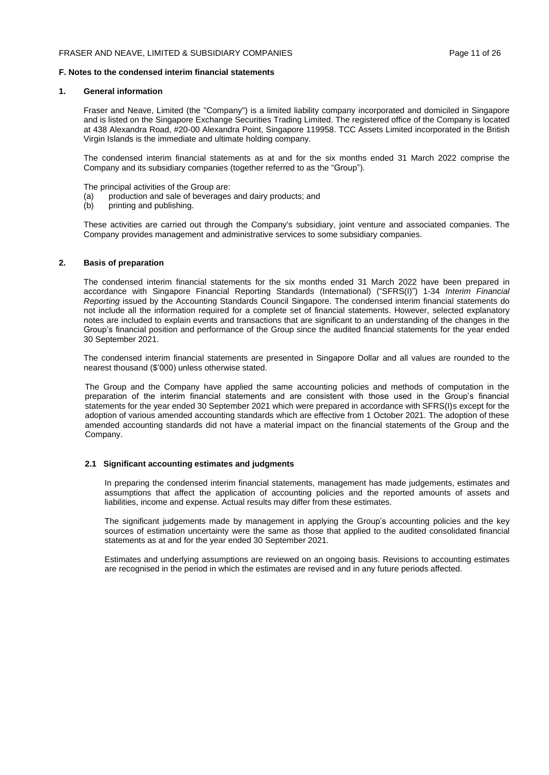#### **1. General information**

Fraser and Neave, Limited (the "Company") is a limited liability company incorporated and domiciled in Singapore and is listed on the Singapore Exchange Securities Trading Limited. The registered office of the Company is located at 438 Alexandra Road, #20-00 Alexandra Point, Singapore 119958. TCC Assets Limited incorporated in the British Virgin Islands is the immediate and ultimate holding company.

The condensed interim financial statements as at and for the six months ended 31 March 2022 comprise the Company and its subsidiary companies (together referred to as the "Group").

The principal activities of the Group are:

- (a) production and sale of beverages and dairy products; and (b) printing and publishing.
- printing and publishing.

These activities are carried out through the Company's subsidiary, joint venture and associated companies. The Company provides management and administrative services to some subsidiary companies.

#### **2. Basis of preparation**

The condensed interim financial statements for the six months ended 31 March 2022 have been prepared in accordance with Singapore Financial Reporting Standards (International) ("SFRS(I)") 1-34 *Interim Financial Reporting* issued by the Accounting Standards Council Singapore. The condensed interim financial statements do not include all the information required for a complete set of financial statements. However, selected explanatory notes are included to explain events and transactions that are significant to an understanding of the changes in the Group's financial position and performance of the Group since the audited financial statements for the year ended 30 September 2021.

The condensed interim financial statements are presented in Singapore Dollar and all values are rounded to the nearest thousand (\$'000) unless otherwise stated.

The Group and the Company have applied the same accounting policies and methods of computation in the preparation of the interim financial statements and are consistent with those used in the Group's financial statements for the year ended 30 September 2021 which were prepared in accordance with SFRS(I)s except for the adoption of various amended accounting standards which are effective from 1 October 2021. The adoption of these amended accounting standards did not have a material impact on the financial statements of the Group and the Company.

#### **2.1 Significant accounting estimates and judgments**

In preparing the condensed interim financial statements, management has made judgements, estimates and assumptions that affect the application of accounting policies and the reported amounts of assets and liabilities, income and expense. Actual results may differ from these estimates.

The significant judgements made by management in applying the Group's accounting policies and the key sources of estimation uncertainty were the same as those that applied to the audited consolidated financial statements as at and for the year ended 30 September 2021.

Estimates and underlying assumptions are reviewed on an ongoing basis. Revisions to accounting estimates are recognised in the period in which the estimates are revised and in any future periods affected.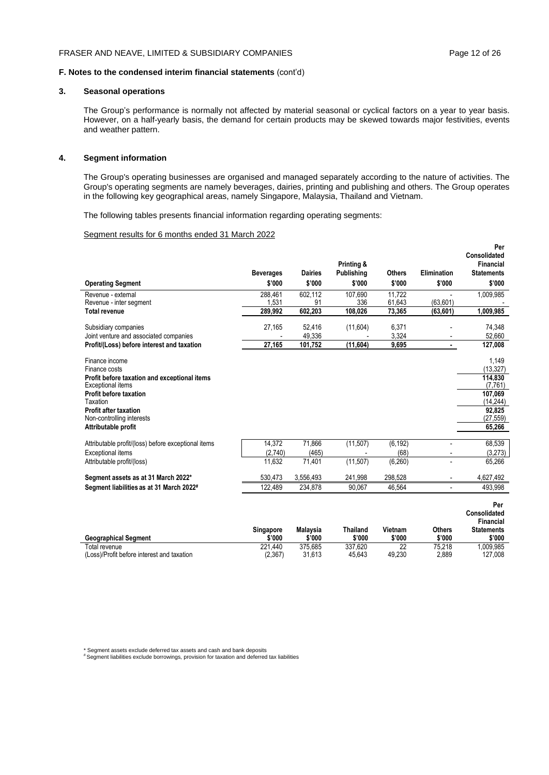#### **3. Seasonal operations**

The Group's performance is normally not affected by material seasonal or cyclical factors on a year to year basis. However, on a half-yearly basis, the demand for certain products may be skewed towards major festivities, events and weather pattern.

#### **4. Segment information**

The Group's operating businesses are organised and managed separately according to the nature of activities. The Group's operating segments are namely beverages, dairies, printing and publishing and others. The Group operates in the following key geographical areas, namely Singapore, Malaysia, Thailand and Vietnam.

The following tables presents financial information regarding operating segments:

#### Segment results for 6 months ended 31 March 2022

| <b>Operating Segment</b>                            | <b>Beverages</b><br>\$'000 | <b>Dairies</b><br>\$'000 | Printing &<br><b>Publishing</b><br>\$'000 | <b>Others</b><br>\$'000 | Elimination<br>\$'000    | Per<br>Consolidated<br><b>Financial</b><br><b>Statements</b><br>\$'000 |
|-----------------------------------------------------|----------------------------|--------------------------|-------------------------------------------|-------------------------|--------------------------|------------------------------------------------------------------------|
|                                                     |                            | 602.112                  |                                           | 11.722                  |                          |                                                                        |
| Revenue - external<br>Revenue - inter segment       | 288.461<br>1,531           | 91                       | 107.690<br>336                            | 61,643                  | (63, 601)                | 1,009,985                                                              |
| <b>Total revenue</b>                                | 289,992                    | 602,203                  | 108,026                                   | 73,365                  | (63, 601)                | 1,009,985                                                              |
| Subsidiary companies                                | 27,165                     | 52.416                   | (11,604)                                  | 6,371                   |                          | 74,348                                                                 |
| Joint venture and associated companies              |                            | 49,336                   |                                           | 3,324                   |                          | 52,660                                                                 |
| Profit/(Loss) before interest and taxation          | 27,165                     | 101,752                  | (11, 604)                                 | 9,695                   |                          | 127,008                                                                |
| Finance income<br>Finance costs                     |                            |                          |                                           |                         |                          | 1,149<br>(13, 327)                                                     |
| Profit before taxation and exceptional items        |                            |                          |                                           |                         |                          | 114.830                                                                |
| Exceptional items                                   |                            |                          |                                           |                         |                          | (7.761)                                                                |
| Profit before taxation<br>Taxation                  |                            |                          |                                           |                         |                          | 107,069<br>(14, 244)                                                   |
| <b>Profit after taxation</b>                        |                            |                          |                                           |                         |                          | 92,825                                                                 |
| Non-controlling interests                           |                            |                          |                                           |                         |                          | (27, 559)                                                              |
| Attributable profit                                 |                            |                          |                                           |                         |                          | 65,266                                                                 |
| Attributable profit/(loss) before exceptional items | 14,372                     | 71,866                   | (11, 507)                                 | (6, 192)                |                          | 68,539                                                                 |
| Exceptional items                                   | (2,740)                    | (465)                    |                                           | (68)                    |                          | (3,273)                                                                |
| Attributable profit/(loss)                          | 11.632                     | 71,401                   | (11,507)                                  | (6, 260)                | $\overline{\phantom{a}}$ | 65,266                                                                 |
| Segment assets as at 31 March 2022*                 | 530,473                    | 3,556,493                | 241,998                                   | 298,528                 |                          | 4,627,492                                                              |
| Segment liabilities as at 31 March 2022#            | 122,489                    | 234,878                  | 90,067                                    | 46,564                  |                          | 493.998                                                                |
|                                                     | <b>Singapore</b>           | Malaysia                 | <b>Thailand</b>                           | Vietnam                 | <b>Others</b>            | Per<br>Consolidated<br><b>Financial</b><br><b>Statements</b>           |
| <b>Geographical Segment</b>                         | \$'000                     | \$'000                   | \$'000                                    | \$'000                  | \$'000                   | \$'000                                                                 |

Total revenue 221,440 375,685 337,620 22 75,218 1,009,985 (Loss)/Profit before interest and taxation (2,367) 31,613 45,643 49,230 2,889 127,008

\* Segment assets exclude deferred tax assets and cash and bank deposits # Segment liabilities exclude borrowings, provision for taxation and deferred tax liabilities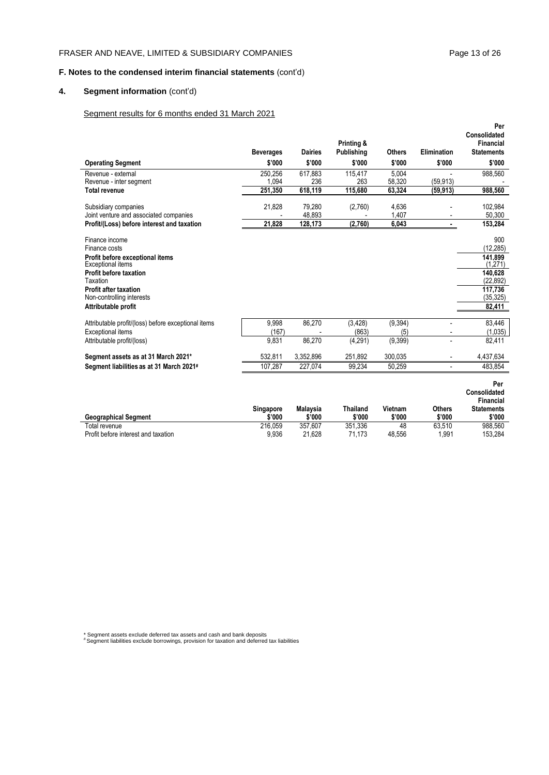## FRASER AND NEAVE, LIMITED & SUBSIDIARY COMPANIES Page 13 of 26

## **F. Notes to the condensed interim financial statements** (cont'd)

## **4. Segment information** (cont'd)

## Segment results for 6 months ended 31 March 2021

|                                                                                                                                                                                                                          | <b>Beverages</b>            | <b>Dairies</b>            | Printing &<br><b>Publishing</b> | <b>Others</b>             | Elimination                                | Per<br>Consolidated<br>Financial<br><b>Statements</b>                                            |
|--------------------------------------------------------------------------------------------------------------------------------------------------------------------------------------------------------------------------|-----------------------------|---------------------------|---------------------------------|---------------------------|--------------------------------------------|--------------------------------------------------------------------------------------------------|
| <b>Operating Segment</b>                                                                                                                                                                                                 | \$'000                      | \$'000                    | \$'000                          | \$'000                    | \$'000                                     | \$'000                                                                                           |
| Revenue - external<br>Revenue - inter segment<br><b>Total revenue</b>                                                                                                                                                    | 250.256<br>1.094<br>251.350 | 617.883<br>236<br>618,119 | 115,417<br>263<br>115.680       | 5.004<br>58,320<br>63.324 | (59.913)<br>(59.913)                       | 988,560<br>988,560                                                                               |
|                                                                                                                                                                                                                          |                             |                           |                                 |                           |                                            |                                                                                                  |
| Subsidiary companies<br>Joint venture and associated companies                                                                                                                                                           | 21,828                      | 79,280<br>48,893          | (2,760)                         | 4,636<br>1,407            |                                            | 102,984<br>50,300                                                                                |
| Profit/(Loss) before interest and taxation                                                                                                                                                                               | 21,828                      | 128,173                   | (2,760)                         | 6,043                     | $\blacksquare$                             | 153,284                                                                                          |
| Finance income<br>Finance costs<br>Profit before exceptional items<br>Exceptional items<br><b>Profit before taxation</b><br>Taxation<br><b>Profit after taxation</b><br>Non-controlling interests<br>Attributable profit |                             |                           |                                 |                           |                                            | 900<br>(12, 285)<br>141.899<br>(1,271)<br>140.628<br>(22, 892)<br>117.736<br>(35, 325)<br>82,411 |
| Attributable profit/(loss) before exceptional items                                                                                                                                                                      | 9,998<br>(167)              | 86,270                    | (3, 428)<br>(863)               | (9, 394)                  | $\overline{a}$                             | 83,446                                                                                           |
| Exceptional items<br>Attributable profit/(loss)                                                                                                                                                                          | 9.831                       | 86.270                    | (4, 291)                        | (5)<br>(9,399)            | $\overline{\phantom{a}}$<br>$\overline{a}$ | (1,035)<br>82,411                                                                                |
| Segment assets as at 31 March 2021*                                                                                                                                                                                      | 532,811                     | 3,352,896                 | 251,892                         | 300,035                   | $\overline{a}$                             | 4,437,634                                                                                        |
| Segment liabilities as at 31 March 2021#                                                                                                                                                                                 | 107,287                     | 227,074                   | 99.234                          | 50.259                    |                                            | 483.854                                                                                          |
| <b>Geographical Segment</b>                                                                                                                                                                                              | Singapore<br>\$'000         | <b>Malaysia</b><br>\$'000 | <b>Thailand</b><br>\$'000       | Vietnam<br>\$'000         | <b>Others</b><br>\$'000                    | Per<br>Consolidated<br>Financial<br><b>Statements</b><br>\$'000                                  |
| Total revenue<br>Profit before interest and taxation                                                                                                                                                                     | 216,059<br>9,936            | 357,607<br>21,628         | 351,336<br>71,173               | 48<br>48,556              | 63,510<br>1,991                            | 988,560<br>153,284                                                                               |

\* Segment assets exclude deferred tax assets and cash and bank deposits # Segment liabilities exclude borrowings, provision for taxation and deferred tax liabilities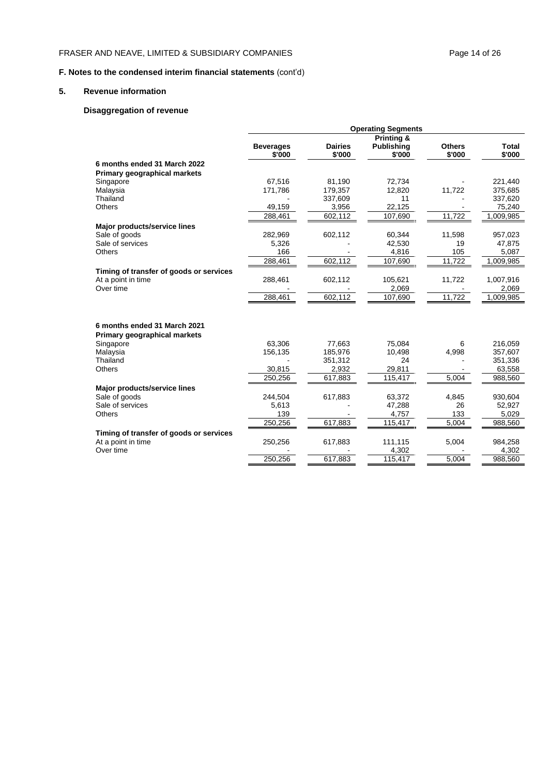## FRASER AND NEAVE, LIMITED & SUBSIDIARY COMPANIES Page 14 of 26

## **F. Notes to the condensed interim financial statements** (cont'd)

#### **5. Revenue information**

## **Disaggregation of revenue**

|                                         | <b>Operating Segments</b>  |                          |                             |                         |                 |  |  |
|-----------------------------------------|----------------------------|--------------------------|-----------------------------|-------------------------|-----------------|--|--|
|                                         |                            |                          |                             |                         |                 |  |  |
|                                         | <b>Beverages</b><br>\$'000 | <b>Dairies</b><br>\$'000 | <b>Publishing</b><br>\$'000 | <b>Others</b><br>\$'000 | Total<br>\$'000 |  |  |
| 6 months ended 31 March 2022            |                            |                          |                             |                         |                 |  |  |
| Primary geographical markets            |                            |                          |                             |                         |                 |  |  |
| Singapore                               | 67,516                     | 81,190                   | 72,734                      |                         | 221,440         |  |  |
| Malaysia                                | 171,786                    | 179,357                  | 12,820                      | 11,722                  | 375,685         |  |  |
| Thailand                                |                            | 337,609                  | 11                          |                         | 337,620         |  |  |
| Others                                  | 49,159                     | 3,956                    | 22,125                      |                         | 75,240          |  |  |
|                                         | 288,461                    | 602,112                  | 107,690                     | 11,722                  | 1,009,985       |  |  |
| Major products/service lines            |                            |                          |                             |                         |                 |  |  |
| Sale of goods                           | 282,969                    | 602,112                  | 60,344                      | 11,598                  | 957,023         |  |  |
| Sale of services                        | 5,326                      |                          | 42,530                      | 19                      | 47,875          |  |  |
| <b>Others</b>                           | 166                        |                          | 4,816                       | 105                     | 5,087           |  |  |
|                                         | 288,461                    | 602,112                  | 107,690                     | 11,722                  | 1,009,985       |  |  |
| Timing of transfer of goods or services |                            |                          |                             |                         |                 |  |  |
| At a point in time                      | 288,461                    | 602,112                  | 105,621                     | 11,722                  | 1,007,916       |  |  |
| Over time                               |                            |                          | 2,069                       |                         | 2,069           |  |  |
|                                         | 288,461                    | 602,112                  | 107,690                     | 11,722                  | 1,009,985       |  |  |
| 6 months ended 31 March 2021            |                            |                          |                             |                         |                 |  |  |
| <b>Primary geographical markets</b>     |                            |                          |                             |                         |                 |  |  |
| Singapore                               | 63,306                     | 77,663                   | 75,084                      | 6                       | 216,059         |  |  |
| Malaysia                                | 156,135                    | 185,976                  | 10,498                      | 4,998                   | 357,607         |  |  |
| Thailand                                |                            | 351,312                  | 24                          |                         | 351,336         |  |  |
| <b>Others</b>                           | 30,815                     | 2,932                    | 29,811                      |                         | 63,558          |  |  |
|                                         | 250,256                    | 617,883                  | 115,417                     | 5,004                   | 988,560         |  |  |
| Major products/service lines            |                            |                          |                             |                         |                 |  |  |
| Sale of goods                           | 244,504                    | 617,883                  | 63,372                      | 4,845                   | 930,604         |  |  |
| Sale of services                        | 5,613                      |                          | 47,288                      | 26                      | 52,927          |  |  |
| <b>Others</b>                           | 139                        |                          | 4,757                       | 133                     | 5,029           |  |  |
|                                         | 250,256                    | 617,883                  | 115,417                     | 5,004                   | 988,560         |  |  |
| Timing of transfer of goods or services |                            |                          |                             |                         |                 |  |  |
| At a point in time                      | 250,256                    | 617,883                  | 111,115                     | 5,004                   | 984,258         |  |  |
| Over time                               |                            |                          | 4,302                       |                         | 4,302           |  |  |
|                                         | 250,256                    | 617,883                  | 115,417                     | 5,004                   | 988,560         |  |  |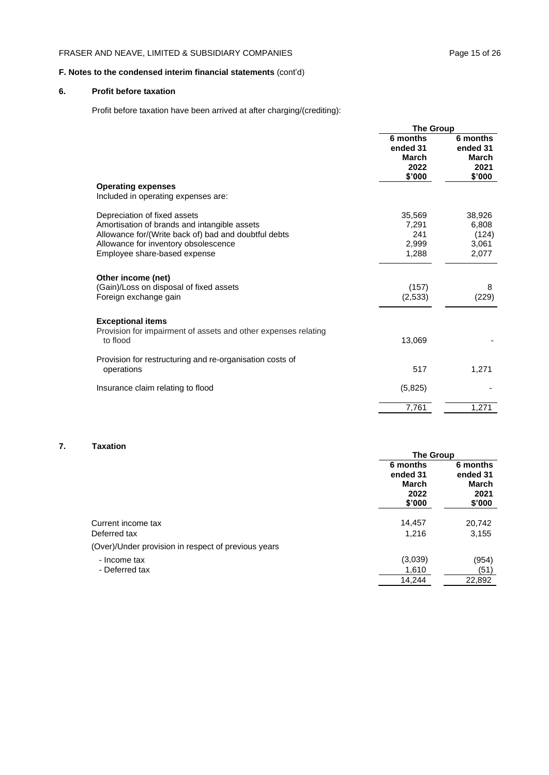## FRASER AND NEAVE, LIMITED & SUBSIDIARY COMPANIES Page 15 of 26

## **F. Notes to the condensed interim financial statements** (cont'd)

## **6. Profit before taxation**

Profit before taxation have been arrived at after charging/(crediting):

|                                                                                                                                                                                                              | <b>The Group</b>                                       |                                                 |
|--------------------------------------------------------------------------------------------------------------------------------------------------------------------------------------------------------------|--------------------------------------------------------|-------------------------------------------------|
|                                                                                                                                                                                                              | 6 months<br>ended 31<br><b>March</b><br>2022<br>\$'000 | 6 months<br>ended 31<br>March<br>2021<br>\$'000 |
| <b>Operating expenses</b><br>Included in operating expenses are:                                                                                                                                             |                                                        |                                                 |
| Depreciation of fixed assets<br>Amortisation of brands and intangible assets<br>Allowance for/(Write back of) bad and doubtful debts<br>Allowance for inventory obsolescence<br>Employee share-based expense | 35,569<br>7,291<br>241<br>2,999<br>1,288               | 38,926<br>6,808<br>(124)<br>3,061<br>2,077      |
| Other income (net)<br>(Gain)/Loss on disposal of fixed assets<br>Foreign exchange gain                                                                                                                       | (157)<br>(2,533)                                       | 8<br>(229)                                      |
| <b>Exceptional items</b><br>Provision for impairment of assets and other expenses relating<br>to flood                                                                                                       | 13,069                                                 |                                                 |
| Provision for restructuring and re-organisation costs of<br>operations                                                                                                                                       | 517                                                    | 1,271                                           |
| Insurance claim relating to flood                                                                                                                                                                            | (5,825)                                                |                                                 |
|                                                                                                                                                                                                              | 7,761                                                  | 1,271                                           |

### **7. Taxation**

|                                                     | <b>The Group</b>                                |                                                        |
|-----------------------------------------------------|-------------------------------------------------|--------------------------------------------------------|
|                                                     | 6 months<br>ended 31<br>March<br>2022<br>\$'000 | 6 months<br>ended 31<br><b>March</b><br>2021<br>\$'000 |
| Current income tax<br>Deferred tax                  | 14,457<br>1,216                                 | 20,742<br>3,155                                        |
| (Over)/Under provision in respect of previous years |                                                 |                                                        |
| - Income tax                                        | (3,039)                                         | (954)                                                  |
| - Deferred tax                                      | 1,610                                           | (51)                                                   |
|                                                     | 14,244                                          | 22,892                                                 |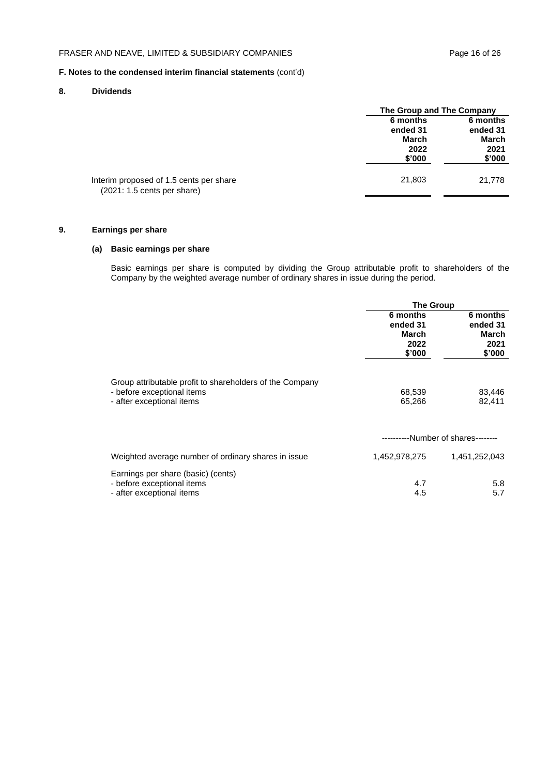## **8. Dividends**

|                                                                                  |          | The Group and The Company |  |
|----------------------------------------------------------------------------------|----------|---------------------------|--|
|                                                                                  | 6 months | 6 months                  |  |
|                                                                                  | ended 31 | ended 31                  |  |
|                                                                                  | March    | March                     |  |
|                                                                                  | 2022     | 2021                      |  |
|                                                                                  | \$'000   | \$'000                    |  |
| Interim proposed of 1.5 cents per share<br>$(2021: 1.5 \text{ cents per share})$ | 21,803   | 21,778                    |  |
|                                                                                  |          |                           |  |

## **9. Earnings per share**

## **(a) Basic earnings per share**

Basic earnings per share is computed by dividing the Group attributable profit to shareholders of the Company by the weighted average number of ordinary shares in issue during the period.

|                                                                                                                     | <b>The Group</b>                                |                                                 |
|---------------------------------------------------------------------------------------------------------------------|-------------------------------------------------|-------------------------------------------------|
|                                                                                                                     | 6 months<br>ended 31<br>March<br>2022<br>\$'000 | 6 months<br>ended 31<br>March<br>2021<br>\$'000 |
| Group attributable profit to shareholders of the Company<br>- before exceptional items<br>- after exceptional items | 68,539<br>65,266                                | 83,446<br>82,411                                |
|                                                                                                                     | ---------                                       | --Number of shares--------                      |
| Weighted average number of ordinary shares in issue                                                                 | 1,452,978,275                                   | 1,451,252,043                                   |
| Earnings per share (basic) (cents)<br>- before exceptional items<br>- after exceptional items                       | 4.7<br>4.5                                      | 5.8<br>5.7                                      |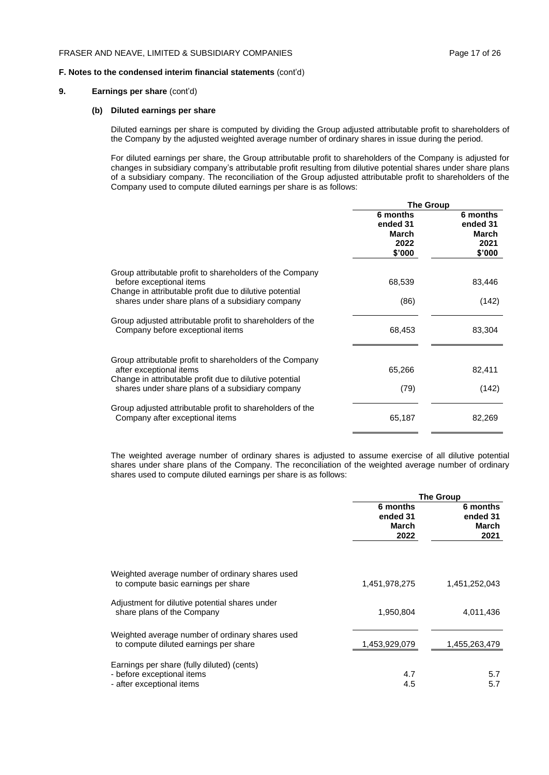## **9. Earnings per share** (cont'd)

#### **(b) Diluted earnings per share**

Diluted earnings per share is computed by dividing the Group adjusted attributable profit to shareholders of the Company by the adjusted weighted average number of ordinary shares in issue during the period.

For diluted earnings per share, the Group attributable profit to shareholders of the Company is adjusted for changes in subsidiary company's attributable profit resulting from dilutive potential shares under share plans of a subsidiary company. The reconciliation of the Group adjusted attributable profit to shareholders of the Company used to compute diluted earnings per share is as follows:

|                                                                                                                                                 | <b>The Group</b>                                |                                                 |
|-------------------------------------------------------------------------------------------------------------------------------------------------|-------------------------------------------------|-------------------------------------------------|
|                                                                                                                                                 | 6 months<br>ended 31<br>March<br>2022<br>\$'000 | 6 months<br>ended 31<br>March<br>2021<br>\$'000 |
| Group attributable profit to shareholders of the Company<br>before exceptional items<br>Change in attributable profit due to dilutive potential | 68,539                                          | 83,446                                          |
| shares under share plans of a subsidiary company                                                                                                | (86)                                            | (142)                                           |
| Group adjusted attributable profit to shareholders of the<br>Company before exceptional items                                                   | 68,453                                          | 83,304                                          |
| Group attributable profit to shareholders of the Company<br>after exceptional items<br>Change in attributable profit due to dilutive potential  | 65,266                                          | 82,411                                          |
| shares under share plans of a subsidiary company                                                                                                | (79)                                            | (142)                                           |
| Group adjusted attributable profit to shareholders of the<br>Company after exceptional items                                                    | 65,187                                          | 82,269                                          |

The weighted average number of ordinary shares is adjusted to assume exercise of all dilutive potential shares under share plans of the Company. The reconciliation of the weighted average number of ordinary shares used to compute diluted earnings per share is as follows:

|                                                                                                       | <b>The Group</b>                      |                                       |
|-------------------------------------------------------------------------------------------------------|---------------------------------------|---------------------------------------|
|                                                                                                       | 6 months<br>ended 31<br>March<br>2022 | 6 months<br>ended 31<br>March<br>2021 |
| Weighted average number of ordinary shares used<br>to compute basic earnings per share                | 1,451,978,275                         | 1,451,252,043                         |
| Adjustment for dilutive potential shares under<br>share plans of the Company                          | 1,950,804                             | 4,011,436                             |
| Weighted average number of ordinary shares used<br>to compute diluted earnings per share              | 1,453,929,079                         | 1,455,263,479                         |
| Earnings per share (fully diluted) (cents)<br>- before exceptional items<br>- after exceptional items | 4.7<br>4.5                            | 5.7<br>5.7                            |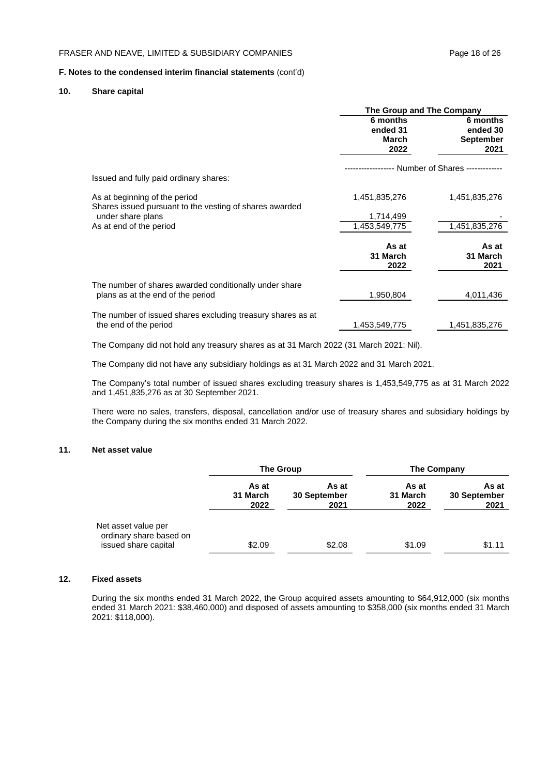#### **10. Share capital**

|                                                                                             | The Group and The Company             |                                                  |
|---------------------------------------------------------------------------------------------|---------------------------------------|--------------------------------------------------|
|                                                                                             | 6 months<br>ended 31<br>March<br>2022 | 6 months<br>ended 30<br><b>September</b><br>2021 |
| Issued and fully paid ordinary shares:                                                      |                                       | -- Number of Shares ------------                 |
| As at beginning of the period<br>Shares issued pursuant to the vesting of shares awarded    | 1,451,835,276                         | 1,451,835,276                                    |
| under share plans                                                                           | 1,714,499                             |                                                  |
| As at end of the period                                                                     | 1,453,549,775                         | 1,451,835,276                                    |
|                                                                                             | As at<br>31 March<br>2022             | As at<br>31 March<br>2021                        |
| The number of shares awarded conditionally under share<br>plans as at the end of the period | 1,950,804                             | 4,011,436                                        |
| The number of issued shares excluding treasury shares as at<br>the end of the period        | 1,453,549,775                         | 1,451,835,276                                    |

The Company did not hold any treasury shares as at 31 March 2022 (31 March 2021: Nil).

The Company did not have any subsidiary holdings as at 31 March 2022 and 31 March 2021.

The Company's total number of issued shares excluding treasury shares is 1,453,549,775 as at 31 March 2022 and 1,451,835,276 as at 30 September 2021.

There were no sales, transfers, disposal, cancellation and/or use of treasury shares and subsidiary holdings by the Company during the six months ended 31 March 2022.

#### **11. Net asset value**

|                                                                        | <b>The Group</b><br><b>The Company</b> |                               |                           |                               |
|------------------------------------------------------------------------|----------------------------------------|-------------------------------|---------------------------|-------------------------------|
|                                                                        | As at<br>31 March<br>2022              | As at<br>30 September<br>2021 | As at<br>31 March<br>2022 | As at<br>30 September<br>2021 |
| Net asset value per<br>ordinary share based on<br>issued share capital | \$2.09                                 | \$2.08                        | \$1.09                    | \$1.11                        |

#### **12. Fixed assets**

During the six months ended 31 March 2022, the Group acquired assets amounting to \$64,912,000 (six months ended 31 March 2021: \$38,460,000) and disposed of assets amounting to \$358,000 (six months ended 31 March 2021: \$118,000).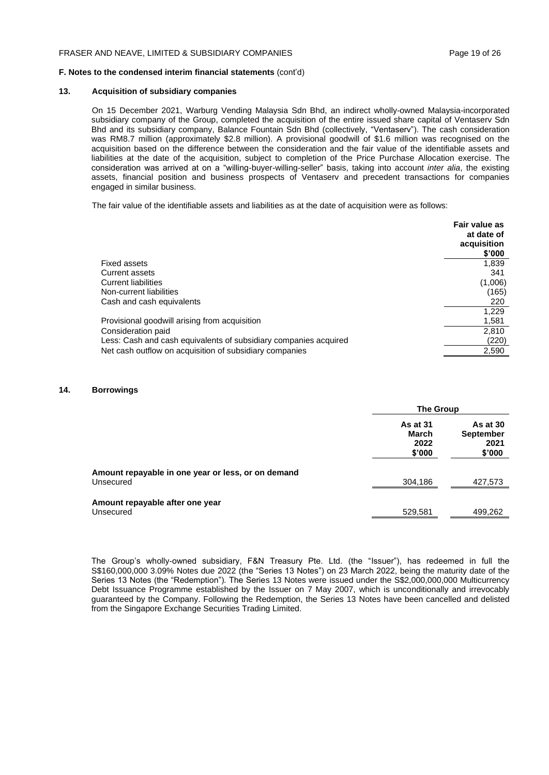#### **13. Acquisition of subsidiary companies**

On 15 December 2021, Warburg Vending Malaysia Sdn Bhd, an indirect wholly-owned Malaysia-incorporated subsidiary company of the Group, completed the acquisition of the entire issued share capital of Ventaserv Sdn Bhd and its subsidiary company, Balance Fountain Sdn Bhd (collectively, "Ventaserv"). The cash consideration was RM8.7 million (approximately \$2.8 million). A provisional goodwill of \$1.6 million was recognised on the acquisition based on the difference between the consideration and the fair value of the identifiable assets and liabilities at the date of the acquisition, subject to completion of the Price Purchase Allocation exercise. The consideration was arrived at on a "willing-buyer-willing-seller" basis, taking into account *inter alia*, the existing assets, financial position and business prospects of Ventaserv and precedent transactions for companies engaged in similar business.

The fair value of the identifiable assets and liabilities as at the date of acquisition were as follows:

|                                                                  | Fair value as<br>at date of<br>acquisition<br>\$'000 |
|------------------------------------------------------------------|------------------------------------------------------|
| Fixed assets                                                     | 1,839                                                |
| Current assets                                                   | 341                                                  |
| <b>Current liabilities</b>                                       | (1,006)                                              |
| Non-current liabilities                                          | (165)                                                |
| Cash and cash equivalents                                        | 220                                                  |
|                                                                  | 1,229                                                |
| Provisional goodwill arising from acquisition                    | 1,581                                                |
| Consideration paid                                               | 2.810                                                |
| Less: Cash and cash equivalents of subsidiary companies acquired | (220)                                                |
| Net cash outflow on acquisition of subsidiary companies          | 2,590                                                |

#### **14. Borrowings**

|                                                                 |                                            | The Group                                      |  |
|-----------------------------------------------------------------|--------------------------------------------|------------------------------------------------|--|
|                                                                 | <b>As at 31</b><br>March<br>2022<br>\$'000 | As at 30<br><b>September</b><br>2021<br>\$'000 |  |
| Amount repayable in one year or less, or on demand<br>Unsecured | 304,186                                    | 427,573                                        |  |
| Amount repayable after one year<br>Unsecured                    | 529,581                                    | 499,262                                        |  |

The Group's wholly-owned subsidiary, F&N Treasury Pte. Ltd. (the "Issuer"), has redeemed in full the S\$160,000,000 3.09% Notes due 2022 (the "Series 13 Notes") on 23 March 2022, being the maturity date of the Series 13 Notes (the "Redemption"). The Series 13 Notes were issued under the S\$2,000,000,000 Multicurrency Debt Issuance Programme established by the Issuer on 7 May 2007, which is unconditionally and irrevocably guaranteed by the Company. Following the Redemption, the Series 13 Notes have been cancelled and delisted from the Singapore Exchange Securities Trading Limited.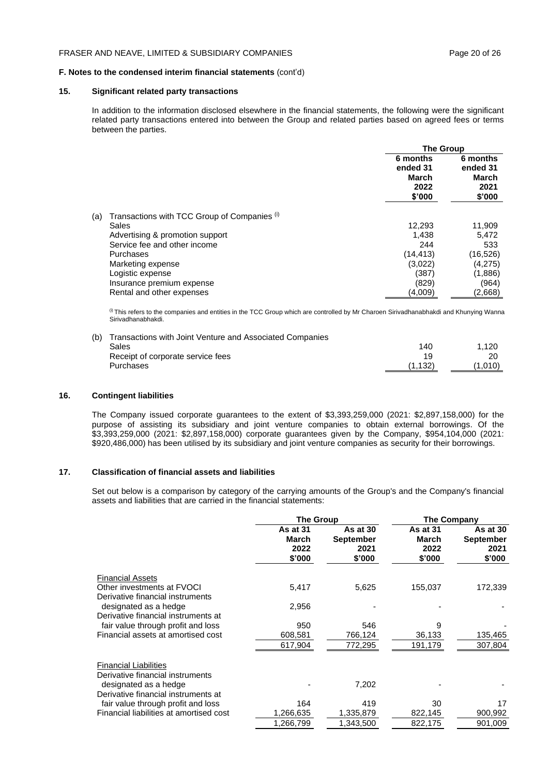#### **15. Significant related party transactions**

In addition to the information disclosed elsewhere in the financial statements, the following were the significant related party transactions entered into between the Group and related parties based on agreed fees or terms between the parties.

|                                                     |                                                 | <b>The Group</b>                                |  |
|-----------------------------------------------------|-------------------------------------------------|-------------------------------------------------|--|
|                                                     | 6 months<br>ended 31<br>March<br>2022<br>\$'000 | 6 months<br>ended 31<br>March<br>2021<br>\$'000 |  |
| Transactions with TCC Group of Companies (i)<br>(a) |                                                 |                                                 |  |
| Sales                                               | 12,293                                          | 11,909                                          |  |
| Advertising & promotion support                     | 1.438                                           | 5.472                                           |  |
| Service fee and other income                        | 244                                             | 533                                             |  |
| Purchases                                           | (14, 413)                                       | (16, 526)                                       |  |
| Marketing expense                                   | (3,022)                                         | (4,275)                                         |  |
| Logistic expense                                    | (387)                                           | (1,886)                                         |  |
| Insurance premium expense                           | (829)                                           | (964)                                           |  |
| Rental and other expenses                           | (4,009)                                         | (2,668)                                         |  |

(i) This refers to the companies and entities in the TCC Group which are controlled by Mr Charoen Sirivadhanabhakdi and Khunying Wanna Sirivadhanabhakdi.

| (b) Transactions with Joint Venture and Associated Companies |         |         |
|--------------------------------------------------------------|---------|---------|
| Sales                                                        | 140     | 1.120   |
| Receipt of corporate service fees                            | 1 Q     |         |
| Purchases                                                    | (1.132) | (1,010) |
|                                                              |         |         |

#### **16. Contingent liabilities**

The Company issued corporate guarantees to the extent of \$3,393,259,000 (2021: \$2,897,158,000) for the purpose of assisting its subsidiary and joint venture companies to obtain external borrowings. Of the \$3,393,259,000 (2021: \$2,897,158,000) corporate guarantees given by the Company, \$954,104,000 (2021: \$920,486,000) has been utilised by its subsidiary and joint venture companies as security for their borrowings.

#### **17. Classification of financial assets and liabilities**

Set out below is a comparison by category of the carrying amounts of the Group's and the Company's financial assets and liabilities that are carried in the financial statements:

|                                                                  | <b>The Group</b>                    |                                                | <b>The Company</b>                         |                                                |
|------------------------------------------------------------------|-------------------------------------|------------------------------------------------|--------------------------------------------|------------------------------------------------|
|                                                                  | As at 31<br>March<br>2022<br>\$'000 | As at 30<br><b>September</b><br>2021<br>\$'000 | As at 31<br><b>March</b><br>2022<br>\$'000 | As at 30<br><b>September</b><br>2021<br>\$'000 |
| <b>Financial Assets</b>                                          |                                     |                                                |                                            |                                                |
| Other investments at FVOCI<br>Derivative financial instruments   | 5,417                               | 5,625                                          | 155,037                                    | 172,339                                        |
| designated as a hedge                                            | 2,956                               |                                                |                                            |                                                |
| Derivative financial instruments at                              |                                     |                                                |                                            |                                                |
| fair value through profit and loss                               | 950                                 | 546                                            | 9                                          |                                                |
| Financial assets at amortised cost                               | 608,581                             | 766,124                                        | 36,133                                     | 135,465                                        |
|                                                                  | 617,904                             | 772,295                                        | 191,179                                    | 307,804                                        |
| <b>Financial Liabilities</b><br>Derivative financial instruments |                                     |                                                |                                            |                                                |
| designated as a hedge<br>Derivative financial instruments at     |                                     | 7,202                                          |                                            |                                                |
| fair value through profit and loss                               | 164                                 | 419                                            | 30                                         | 17                                             |
| Financial liabilities at amortised cost                          | 1,266,635                           | 1,335,879                                      | 822,145                                    | 900,992                                        |
|                                                                  | 1,266,799                           | 1,343,500                                      | 822,175                                    | 901,009                                        |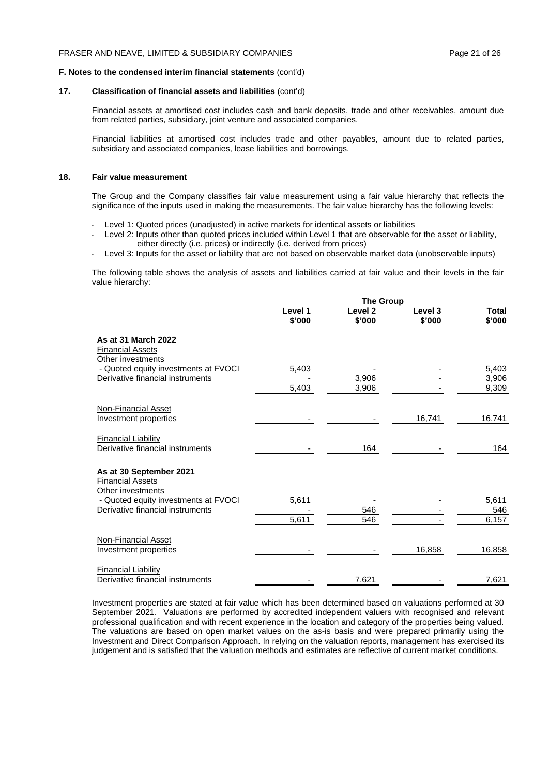#### **17. Classification of financial assets and liabilities** (cont'd)

Financial assets at amortised cost includes cash and bank deposits, trade and other receivables, amount due from related parties, subsidiary, joint venture and associated companies.

Financial liabilities at amortised cost includes trade and other payables, amount due to related parties, subsidiary and associated companies, lease liabilities and borrowings.

#### **18. Fair value measurement**

The Group and the Company classifies fair value measurement using a fair value hierarchy that reflects the significance of the inputs used in making the measurements. The fair value hierarchy has the following levels:

- Level 1: Quoted prices (unadjusted) in active markets for identical assets or liabilities
- Level 2: Inputs other than quoted prices included within Level 1 that are observable for the asset or liability, either directly (i.e. prices) or indirectly (i.e. derived from prices)
- Level 3: Inputs for the asset or liability that are not based on observable market data (unobservable inputs)

The following table shows the analysis of assets and liabilities carried at fair value and their levels in the fair value hierarchy:

|                                                                         | <b>The Group</b>  |                              |                   |                        |
|-------------------------------------------------------------------------|-------------------|------------------------------|-------------------|------------------------|
|                                                                         | Level 1<br>\$'000 | Level <sub>2</sub><br>\$'000 | Level 3<br>\$'000 | <b>Total</b><br>\$'000 |
| As at 31 March 2022<br><b>Financial Assets</b><br>Other investments     |                   |                              |                   |                        |
| - Quoted equity investments at FVOCI                                    | 5,403             |                              |                   | 5,403                  |
| Derivative financial instruments                                        |                   | 3,906                        |                   | 3,906                  |
|                                                                         | 5,403             | 3,906                        |                   | 9,309                  |
| <b>Non-Financial Asset</b><br>Investment properties                     |                   |                              | 16,741            | 16,741                 |
| <b>Financial Liability</b><br>Derivative financial instruments          |                   | 164                          |                   | 164                    |
| As at 30 September 2021<br><b>Financial Assets</b><br>Other investments |                   |                              |                   |                        |
| - Quoted equity investments at FVOCI                                    | 5,611             |                              |                   | 5,611                  |
| Derivative financial instruments                                        |                   | 546                          |                   | 546                    |
|                                                                         | 5,611             | 546                          |                   | 6,157                  |
| <b>Non-Financial Asset</b><br>Investment properties                     |                   |                              | 16,858            | 16,858                 |
| <b>Financial Liability</b><br>Derivative financial instruments          |                   | 7,621                        |                   | 7,621                  |

Investment properties are stated at fair value which has been determined based on valuations performed at 30 September 2021. Valuations are performed by accredited independent valuers with recognised and relevant professional qualification and with recent experience in the location and category of the properties being valued. The valuations are based on open market values on the as-is basis and were prepared primarily using the Investment and Direct Comparison Approach. In relying on the valuation reports, management has exercised its judgement and is satisfied that the valuation methods and estimates are reflective of current market conditions.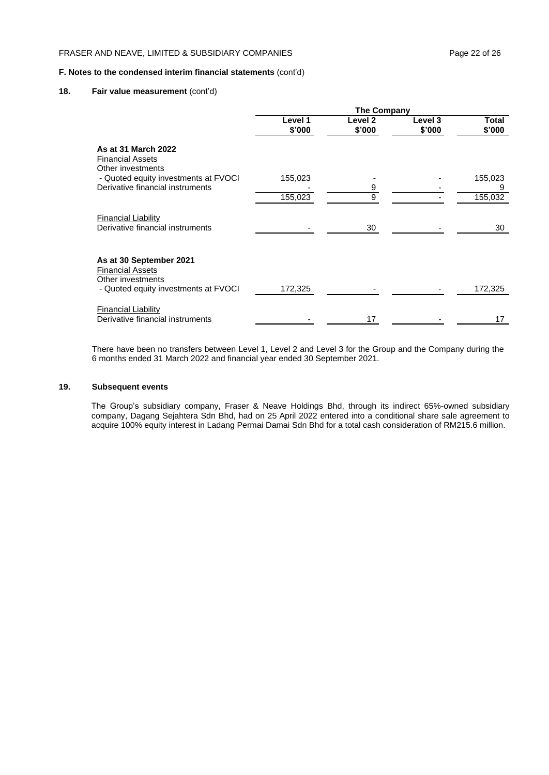#### **18. Fair value measurement** (cont'd)

|                                                                         | <b>The Company</b> |                   |                   |                 |
|-------------------------------------------------------------------------|--------------------|-------------------|-------------------|-----------------|
|                                                                         | Level 1<br>\$'000  | Level 2<br>\$'000 | Level 3<br>\$'000 | Total<br>\$'000 |
| As at 31 March 2022<br><b>Financial Assets</b><br>Other investments     |                    |                   |                   |                 |
| - Quoted equity investments at FVOCI                                    | 155,023            |                   |                   | 155,023         |
| Derivative financial instruments                                        |                    | $\overline{9}$    |                   | 9               |
|                                                                         | 155,023            | 9                 |                   | 155,032         |
| <b>Financial Liability</b><br>Derivative financial instruments          |                    | 30                |                   | 30              |
| As at 30 September 2021<br><b>Financial Assets</b><br>Other investments |                    |                   |                   |                 |
| - Quoted equity investments at FVOCI                                    | 172,325            |                   |                   | 172,325         |
| <b>Financial Liability</b><br>Derivative financial instruments          |                    | 17                |                   | 17              |

There have been no transfers between Level 1, Level 2 and Level 3 for the Group and the Company during the 6 months ended 31 March 2022 and financial year ended 30 September 2021.

#### **19. Subsequent events**

The Group's subsidiary company, Fraser & Neave Holdings Bhd, through its indirect 65%-owned subsidiary company, Dagang Sejahtera Sdn Bhd, had on 25 April 2022 entered into a conditional share sale agreement to acquire 100% equity interest in Ladang Permai Damai Sdn Bhd for a total cash consideration of RM215.6 million.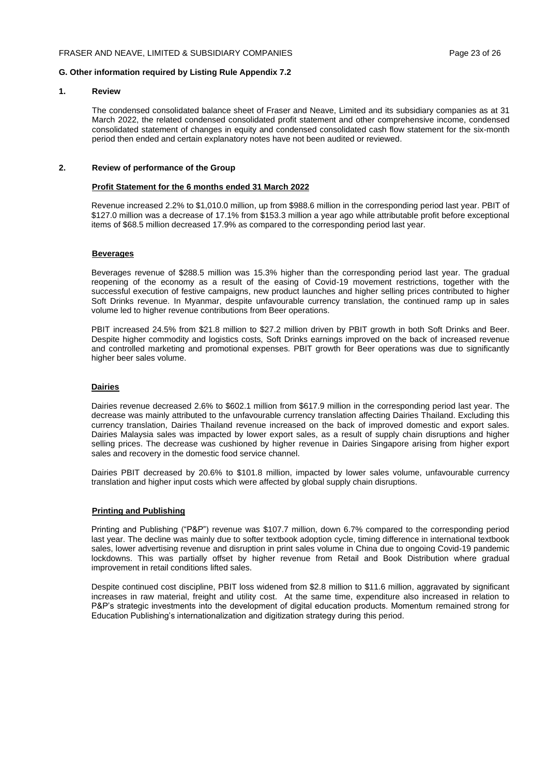#### **G. Other information required by Listing Rule Appendix 7.2**

#### **1. Review**

The condensed consolidated balance sheet of Fraser and Neave, Limited and its subsidiary companies as at 31 March 2022, the related condensed consolidated profit statement and other comprehensive income, condensed consolidated statement of changes in equity and condensed consolidated cash flow statement for the six-month period then ended and certain explanatory notes have not been audited or reviewed.

#### **2. Review of performance of the Group**

#### **Profit Statement for the 6 months ended 31 March 2022**

Revenue increased 2.2% to \$1,010.0 million, up from \$988.6 million in the corresponding period last year. PBIT of \$127.0 million was a decrease of 17.1% from \$153.3 million a year ago while attributable profit before exceptional items of \$68.5 million decreased 17.9% as compared to the corresponding period last year.

#### **Beverages**

Beverages revenue of \$288.5 million was 15.3% higher than the corresponding period last year. The gradual reopening of the economy as a result of the easing of Covid-19 movement restrictions, together with the successful execution of festive campaigns, new product launches and higher selling prices contributed to higher Soft Drinks revenue. In Myanmar, despite unfavourable currency translation, the continued ramp up in sales volume led to higher revenue contributions from Beer operations.

PBIT increased 24.5% from \$21.8 million to \$27.2 million driven by PBIT growth in both Soft Drinks and Beer. Despite higher commodity and logistics costs, Soft Drinks earnings improved on the back of increased revenue and controlled marketing and promotional expenses. PBIT growth for Beer operations was due to significantly higher beer sales volume.

#### **Dairies**

Dairies revenue decreased 2.6% to \$602.1 million from \$617.9 million in the corresponding period last year. The decrease was mainly attributed to the unfavourable currency translation affecting Dairies Thailand. Excluding this currency translation, Dairies Thailand revenue increased on the back of improved domestic and export sales. Dairies Malaysia sales was impacted by lower export sales, as a result of supply chain disruptions and higher selling prices. The decrease was cushioned by higher revenue in Dairies Singapore arising from higher export sales and recovery in the domestic food service channel.

Dairies PBIT decreased by 20.6% to \$101.8 million, impacted by lower sales volume, unfavourable currency translation and higher input costs which were affected by global supply chain disruptions.

#### **Printing and Publishing**

Printing and Publishing ("P&P") revenue was \$107.7 million, down 6.7% compared to the corresponding period last year. The decline was mainly due to softer textbook adoption cycle, timing difference in international textbook sales, lower advertising revenue and disruption in print sales volume in China due to ongoing Covid-19 pandemic lockdowns. This was partially offset by higher revenue from Retail and Book Distribution where gradual improvement in retail conditions lifted sales.

Despite continued cost discipline, PBIT loss widened from \$2.8 million to \$11.6 million, aggravated by significant increases in raw material, freight and utility cost. At the same time, expenditure also increased in relation to P&P's strategic investments into the development of digital education products. Momentum remained strong for Education Publishing's internationalization and digitization strategy during this period.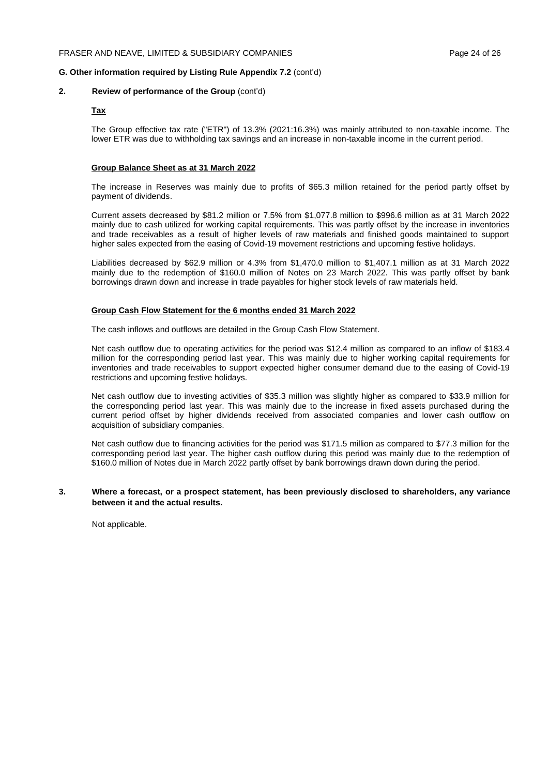#### **G. Other information required by Listing Rule Appendix 7.2** (cont'd)

#### **2. Review of performance of the Group** (cont'd)

#### **Tax**

The Group effective tax rate ("ETR") of 13.3% (2021:16.3%) was mainly attributed to non-taxable income. The lower ETR was due to withholding tax savings and an increase in non-taxable income in the current period.

#### **Group Balance Sheet as at 31 March 2022**

The increase in Reserves was mainly due to profits of \$65.3 million retained for the period partly offset by payment of dividends.

Current assets decreased by \$81.2 million or 7.5% from \$1,077.8 million to \$996.6 million as at 31 March 2022 mainly due to cash utilized for working capital requirements. This was partly offset by the increase in inventories and trade receivables as a result of higher levels of raw materials and finished goods maintained to support higher sales expected from the easing of Covid-19 movement restrictions and upcoming festive holidays.

Liabilities decreased by \$62.9 million or 4.3% from \$1,470.0 million to \$1,407.1 million as at 31 March 2022 mainly due to the redemption of \$160.0 million of Notes on 23 March 2022. This was partly offset by bank borrowings drawn down and increase in trade payables for higher stock levels of raw materials held.

#### **Group Cash Flow Statement for the 6 months ended 31 March 2022**

The cash inflows and outflows are detailed in the Group Cash Flow Statement.

Net cash outflow due to operating activities for the period was \$12.4 million as compared to an inflow of \$183.4 million for the corresponding period last year. This was mainly due to higher working capital requirements for inventories and trade receivables to support expected higher consumer demand due to the easing of Covid-19 restrictions and upcoming festive holidays.

Net cash outflow due to investing activities of \$35.3 million was slightly higher as compared to \$33.9 million for the corresponding period last year. This was mainly due to the increase in fixed assets purchased during the current period offset by higher dividends received from associated companies and lower cash outflow on acquisition of subsidiary companies.

Net cash outflow due to financing activities for the period was \$171.5 million as compared to \$77.3 million for the corresponding period last year. The higher cash outflow during this period was mainly due to the redemption of \$160.0 million of Notes due in March 2022 partly offset by bank borrowings drawn down during the period.

#### **3. Where a forecast, or a prospect statement, has been previously disclosed to shareholders, any variance between it and the actual results.**

Not applicable.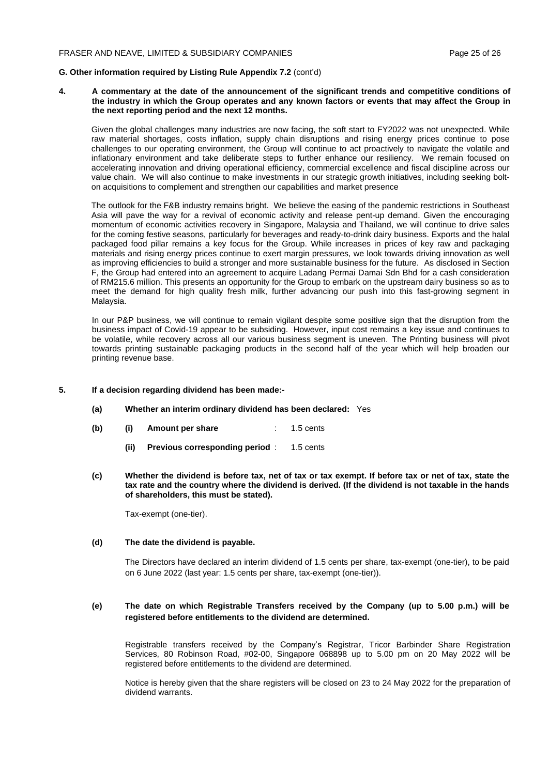#### **G. Other information required by Listing Rule Appendix 7.2** (cont'd)

**4. A commentary at the date of the announcement of the significant trends and competitive conditions of the industry in which the Group operates and any known factors or events that may affect the Group in the next reporting period and the next 12 months.**

Given the global challenges many industries are now facing, the soft start to FY2022 was not unexpected. While raw material shortages, costs inflation, supply chain disruptions and rising energy prices continue to pose challenges to our operating environment, the Group will continue to act proactively to navigate the volatile and inflationary environment and take deliberate steps to further enhance our resiliency. We remain focused on accelerating innovation and driving operational efficiency, commercial excellence and fiscal discipline across our value chain. We will also continue to make investments in our strategic growth initiatives, including seeking bolton acquisitions to complement and strengthen our capabilities and market presence

The outlook for the F&B industry remains bright. We believe the easing of the pandemic restrictions in Southeast Asia will pave the way for a revival of economic activity and release pent-up demand. Given the encouraging momentum of economic activities recovery in Singapore, Malaysia and Thailand, we will continue to drive sales for the coming festive seasons, particularly for beverages and ready-to-drink dairy business. Exports and the halal packaged food pillar remains a key focus for the Group. While increases in prices of key raw and packaging materials and rising energy prices continue to exert margin pressures, we look towards driving innovation as well as improving efficiencies to build a stronger and more sustainable business for the future. As disclosed in Section F, the Group had entered into an agreement to acquire Ladang Permai Damai Sdn Bhd for a cash consideration of RM215.6 million. This presents an opportunity for the Group to embark on the upstream dairy business so as to meet the demand for high quality fresh milk, further advancing our push into this fast-growing segment in Malaysia.

In our P&P business, we will continue to remain vigilant despite some positive sign that the disruption from the business impact of Covid-19 appear to be subsiding. However, input cost remains a key issue and continues to be volatile, while recovery across all our various business segment is uneven. The Printing business will pivot towards printing sustainable packaging products in the second half of the year which will help broaden our printing revenue base.

#### **5. If a decision regarding dividend has been made:-**

- **(a) Whether an interim ordinary dividend has been declared:** Yes
- **(b) (i) Amount per share** : 1.5 cents
	- **(ii) Previous corresponding period** : 1.5 cents
- **(c) Whether the dividend is before tax, net of tax or tax exempt. If before tax or net of tax, state the tax rate and the country where the dividend is derived. (If the dividend is not taxable in the hands of shareholders, this must be stated).**

Tax-exempt (one-tier).

#### **(d) The date the dividend is payable.**

The Directors have declared an interim dividend of 1.5 cents per share, tax-exempt (one-tier), to be paid on 6 June 2022 (last year: 1.5 cents per share, tax-exempt (one-tier)).

#### **(e) The date on which Registrable Transfers received by the Company (up to 5.00 p.m.) will be registered before entitlements to the dividend are determined.**

Registrable transfers received by the Company's Registrar, Tricor Barbinder Share Registration Services, 80 Robinson Road, #02-00, Singapore 068898 up to 5.00 pm on 20 May 2022 will be registered before entitlements to the dividend are determined.

Notice is hereby given that the share registers will be closed on 23 to 24 May 2022 for the preparation of dividend warrants.